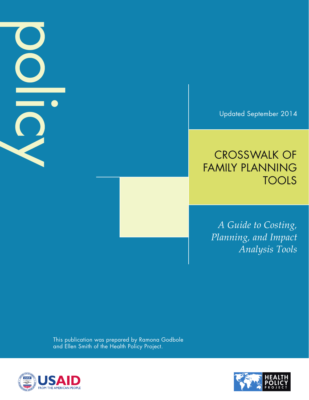Updated September 2014

# CROSSWALK OF FAMILY PLANNING TOOLS

*A Guide to Costing, Planning, and Impact Analysis Tools*

This publication was prepared by Ramona Godbole and Ellen Smith of the Health Policy Project.



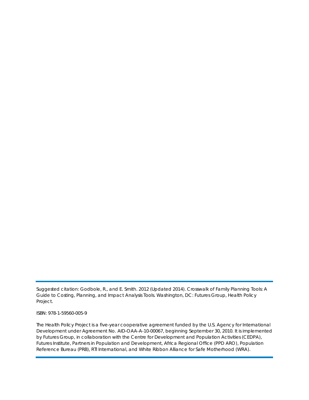Suggested citation: Godbole, R., and E. Smith. 2012 (Updated 2014). *Crosswalk of Family Planning Tools: A Guide to Costing, Planning, and Impact Analysis Tools*. Washington, DC: Futures Group, Health Policy Project.

ISBN: 978-1-59560-005-9

The Health Policy Project is a five-year cooperative agreement funded by the U.S. Agency for International Development under Agreement No. AID-OAA-A-10-00067, beginning September 30, 2010. It is implemented by Futures Group, in collaboration with the Centre for Development and Population Activities (CEDPA), Futures Institute, Partners in Population and Development, Africa Regional Office (PPD ARO), Population Reference Bureau (PRB), RTI International, and White Ribbon Alliance for Safe Motherhood (WRA).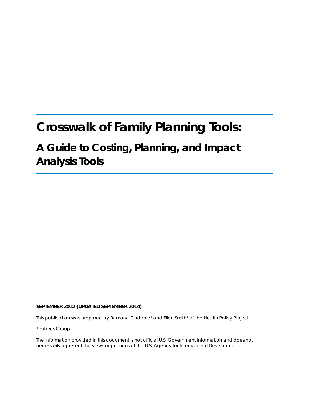# **Crosswalk of Family Planning Tools:**

# **A Guide to Costing, Planning, and Impact Analysis Tools**

#### **SEPTEMBER 2012 (UPDATED SEPTEMBER 2014)**

This publication was prepared by Ramona Godbole<sup>1</sup> and Ellen Smith<sup>1</sup> of the Health Policy Project.

<sup>1</sup> Futures Group

The information provided in this document is not official U.S. Government information and does not necessarily represent the views or positions of the U.S. Agency for International Development.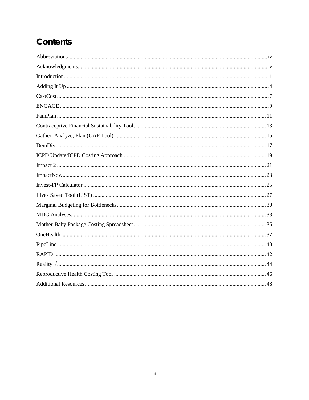# **Contents**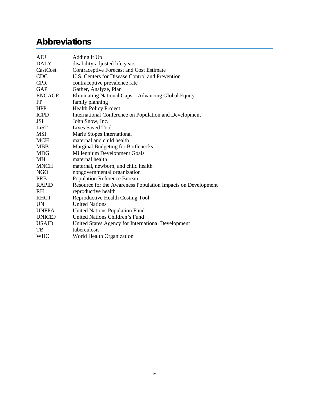# <span id="page-5-0"></span>**Abbreviations**

| AIU           | Adding It Up                                                 |
|---------------|--------------------------------------------------------------|
| <b>DALY</b>   | disability-adjusted life years                               |
| CastCost      | <b>Contraceptive Forecast and Cost Estimate</b>              |
| <b>CDC</b>    | U.S. Centers for Disease Control and Prevention              |
| <b>CPR</b>    | contraceptive prevalence rate                                |
| GAP           | Gather, Analyze, Plan                                        |
| <b>ENGAGE</b> | Eliminating National Gaps-Advancing Global Equity            |
| FP            | family planning                                              |
| <b>HPP</b>    | <b>Health Policy Project</b>                                 |
| <b>ICPD</b>   | International Conference on Population and Development       |
| JSI           | John Snow, Inc.                                              |
| LiST          | Lives Saved Tool                                             |
| <b>MSI</b>    | Marie Stopes International                                   |
| <b>MCH</b>    | maternal and child health                                    |
| <b>MBB</b>    | <b>Marginal Budgeting for Bottlenecks</b>                    |
| <b>MDG</b>    | Millennium Development Goals                                 |
| MH            | maternal health                                              |
| <b>MNCH</b>   | maternal, newborn, and child health                          |
| <b>NGO</b>    | nongovernmental organization                                 |
| <b>PRB</b>    | Population Reference Bureau                                  |
| <b>RAPID</b>  | Resource for the Awareness Population Impacts on Development |
| RH.           | reproductive health                                          |
| <b>RHCT</b>   | Reproductive Health Costing Tool                             |
| <b>UN</b>     | <b>United Nations</b>                                        |
| <b>UNFPA</b>  | United Nations Population Fund                               |
| <b>UNICEF</b> | United Nations Children's Fund                               |
| <b>USAID</b>  | United States Agency for International Development           |
| TB            | tuberculosis                                                 |
| WHO           | World Health Organization                                    |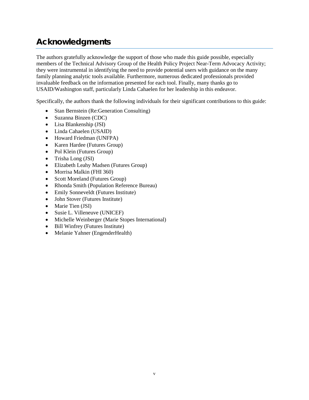# <span id="page-6-0"></span>**Acknowledgments**

The authors gratefully acknowledge the support of those who made this guide possible, especially members of the Technical Advisory Group of the Health Policy Project Near-Term Advocacy Activity; they were instrumental in identifying the need to provide potential users with guidance on the many family planning analytic tools available. Furthermore, numerous dedicated professionals provided invaluable feedback on the information presented for each tool. Finally, many thanks go to USAID/Washington staff, particularly Linda Cahaelen for her leadership in this endeavor.

Specifically, the authors thank the following individuals for their significant contributions to this guide:

- Stan Bernstein (Re:Generation Consulting)
- Suzanna Binzen (CDC)
- Lisa Blankenship (JSI)
- Linda Cahaelen (USAID)
- Howard Friedman (UNFPA)
- Karen Hardee (Futures Group)
- Pol Klein (Futures Group)
- Trisha Long (JSI)
- Elizabeth Leahy Madsen (Futures Group)
- Morrisa Malkin (FHI 360)
- Scott Moreland (Futures Group)
- Rhonda Smith (Population Reference Bureau)
- Emily Sonneveldt (Futures Institute)
- John Stover (Futures Institute)
- Marie Tien (JSI)
- Susie L. Villeneuve (UNICEF)
- Michelle Weinberger (Marie Stopes International)
- Bill Winfrey (Futures Institute)
- Melanie Yahner (EngenderHealth)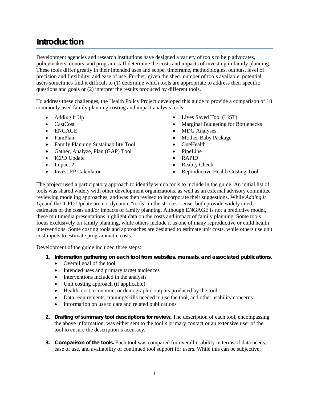# <span id="page-8-0"></span>**Introduction**

Development agencies and research institutions have designed a variety of tools to help advocates, policymakers, donors, and program staff determine the costs and impacts of investing in family planning. These tools differ greatly in their intended uses and scope, timeframe, methodologies, outputs, level of precision and flexibility, and ease of use. Further, given the sheer number of tools available, potential users sometimes find it difficult to (1) determine which tools are appropriate to address their specific questions and goals or (2) interpret the results produced by different tools.

To address these challenges, the Health Policy Project developed this guide to provide a comparison of 18 commonly used family planning costing and impact analysis tools:

- Adding It Up
- CastCost
- ENGAGE
- FamPlan
- Family Planning Sustainability Tool
- Gather, Analyze, Plan (GAP) Tool
- ICPD Update
- Impact 2
- Invest-FP Calculator
- Lives Saved Tool (LiST)
- Marginal Budgeting for Bottlenecks
- MDG Analyses
- Mother-Baby Package
- OneHealth
- PipeLine
- RAPID
- Reality Check
- Reproductive Health Costing Tool

The project used a participatory approach to identify which tools to include in the guide. An initial list of tools was shared widely with other development organizations, as well as an external advisory committee reviewing modeling approaches, and was then revised to incorporate their suggestions. While *Adding it Up* and the ICPD Update are not dynamic "tools" in the strictest sense, both provide widely cited estimates of the costs and/or impacts of family planning. Although ENGAGE is not a predictive model, these multimedia presentations highlight data on the costs and impact of family planning. Some tools focus exclusively on family planning, while others include it as one of many reproductive or child health interventions. Some costing tools and approaches are designed to estimate unit costs, while others use unit cost inputs to estimate programmatic costs.

Development of the guide included three steps:

- **1. Information gathering on each tool from websites, manuals, and associated publications.**
	- Overall goal of the tool
	- Intended uses and primary target audiences
	- Interventions included in the analysis
	- Unit costing approach (if applicable)
	- Health, cost, economic, or demographic outputs produced by the tool
	- Data requirements, training/skills needed to use the tool, and other usability concerns
	- Information on use to date and related publications
- **2. Drafting of summary tool descriptions for review.** The description of each tool, encompassing the above information, was either sent to the tool's primary contact or an extensive user of the tool to ensure the description's accuracy.
- **3. Comparison of the tools.** Each tool was compared for overall usability in terms of data needs, ease of use, and availability of continued tool support for users. While this can be subjective,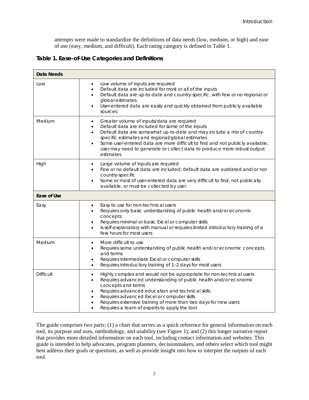attempts were made to standardize the definitions of data needs (low, medium, or high) and ease of use (easy, medium, and difficult). Each rating category is defined in Table 1.

**Table 1. Ease-of-Use Categories and Definitions**

| <b>Data Needs</b>  |                                                                                                                                                                                                                                                                                                                                                                                                                                                           |
|--------------------|-----------------------------------------------------------------------------------------------------------------------------------------------------------------------------------------------------------------------------------------------------------------------------------------------------------------------------------------------------------------------------------------------------------------------------------------------------------|
| Low                | Low volume of inputs are required<br>$\bullet$<br>Default data are included for most or all of the inputs<br>$\bullet$<br>Default data are up-to-date and country-specific, with few or no regional or<br>$\bullet$<br>global estimates<br>User-entered data are easily and quickly obtained from publicly available<br>$\bullet$<br>sources                                                                                                              |
| Medium             | Greater volume of inputs/data are required<br>$\bullet$<br>Default data are included for some of the inputs<br>$\bullet$<br>Default data are somewhat up-to-date and may include a mix of country-<br>$\bullet$<br>specific estimates and regional/global estimates<br>Some user-entered data are more difficult to find and not publicly available;<br>$\bullet$<br>user may need to generate or collect data to produce more robust output<br>estimates |
| High               | Large volume of inputs are required<br>$\bullet$<br>Few or no default data are included; default data are outdated and/or not<br>country-specific<br>Some or most of user-entered data are very difficult to find, not publically<br>$\bullet$<br>available, or must be collected by user                                                                                                                                                                 |
| <b>Ease of Use</b> |                                                                                                                                                                                                                                                                                                                                                                                                                                                           |
| Easy               | Easy to use for non-technical users<br>$\bullet$<br>Requires only basic understanding of public health and/or economic<br>$\bullet$<br>concepts<br>Requires minimal or basic Excel or computer skills<br>$\bullet$<br>Is self-explanatory with manual or requires limited introductory training of a<br>$\bullet$<br>few hours for most users                                                                                                             |
| Medium             | More difficult to use<br>$\bullet$<br>Requires some understanding of public health and/or economic concepts<br>and terms<br>Requires intermediate Excel or computer skills<br>$\bullet$<br>Requires introductory training of 1-2 days for most users<br>$\bullet$                                                                                                                                                                                         |
| <b>Difficult</b>   | Highly complex and would not be appropriate for non-technical users<br>$\bullet$<br>Requires advanced understanding of public health and/or economic<br>$\bullet$<br>concepts and terms<br>Requires advanced education and technical skills<br>$\bullet$<br>Requires advanced Excel or computer skills<br>Requires extensive training of more than two days for new users<br>$\bullet$<br>Requires a team of experts to apply the tool<br>$\bullet$       |

The guide comprises two parts: (1) a chart that serves as a quick reference for general information on each tool, its purpose and uses, methodology, and usability (see Figure 1); and (2) this longer narrative report that provides more detailed information on each tool, including contact information and websites. This guide is intended to help advocates, program planners, decisionmakers, and others select which tool might best address their goals or questions, as well as provide insight into how to interpret the outputs of each tool.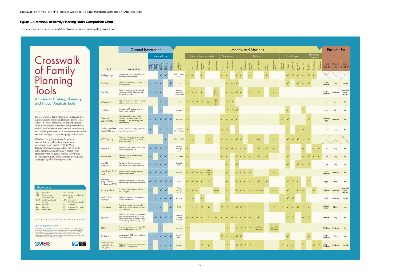3

#### **Figure 1. Crosswalk of Family Planning Tools: Comparison Chart**

This chart can also be found and downloaded at www.healthpolicyproject.com.

# Crosswalk of Family<br>Planning<br>Tools

A Guide to Costing, Planning, and Impact Analysis Tools

The Crosswalk of Family Planning Tools compares Finally planning costing and impact analysis tools.<br>
Some tools focus exclusively on family planning,<br>
while others include it as one of many reproductive or child health interventions. Further, some costing tools are designed to estimate unit costs, while others use unit cost inputs to estimate programmatic costs.

\*\*\*\*\*\*\*\*\*\*\*\*\*\*\*\*\*\*\*\*\*\*\*\*\*\*\*\*\*\*\*\*\*\*

This chart is a quick reference for general information on each tool's purpose, uses, methodology, and overall usability. More detailed information on each tool can be found in the accompanying narrative report at www. healthpolicyproject.com. For more information on the Crosswalk of Family Planning Tools, please contact policyinfo@futuresgroup.com.

|             | Abbreviations                           |            |                                       |
|-------------|-----------------------------------------|------------|---------------------------------------|
| Agr         | Agriculture                             | Gen        | Gender                                |
| CPR         | Contraceptive<br>Prevalence Rate        | <b>MCH</b> | Maternal and Child<br>Health          |
| <b>DAIY</b> | Disability-Adjusted<br><b>Life Year</b> | <b>MDG</b> | Millenium<br><b>Development Goals</b> |
| Econ        | Economy                                 | Nut        | Nutrition                             |
| Ed          | Education                               | <b>RH</b>  | Reproductive Health                   |
| Env         | Environment                             | Urb        | Urbanization                          |

#### Updated September 2014

The Health Policy Project is a live-year cooperative agreement funded by the United States Agency<br>for International Development (USAID) under Cooperative Agreement No. AID-OAA-A-10-00067,<br>fooginning September 30, 2010. It

**WARRANTE** 



|                                                       | General Information                                                                                                                              |                              |              |                           |              |              |                                       |              |                         |              |                   |                               |                        |                        |                           |              |              |              |              |                  | <b>Models and Methods</b>  |                                            |                       |              |              |                |              |              | Ease of Use  |           |  |                      |                |                              |
|-------------------------------------------------------|--------------------------------------------------------------------------------------------------------------------------------------------------|------------------------------|--------------|---------------------------|--------------|--------------|---------------------------------------|--------------|-------------------------|--------------|-------------------|-------------------------------|------------------------|------------------------|---------------------------|--------------|--------------|--------------|--------------|------------------|----------------------------|--------------------------------------------|-----------------------|--------------|--------------|----------------|--------------|--------------|--------------|-----------|--|----------------------|----------------|------------------------------|
|                                                       |                                                                                                                                                  |                              |              | <b>Intended Use</b>       |              |              |                                       |              | Interventions Included  |              |                   |                               |                        | Outputs<br>Perspective |                           |              |              |              |              |                  |                            | Economic<br><b>Cost Outputs</b><br>Outputs |                       |              |              |                |              |              |              |           |  |                      |                |                              |
| Tool                                                  | Description                                                                                                                                      | <b>Strategic</b><br>Planning |              |                           |              |              | Timefrar<br>(years)                   |              |                         | Child        | Newborn<br>Health |                               |                        |                        | Secto<br>ublic            | Sec          |              |              | Health<br>고  | lewbor<br>lealth |                            | DAIY <sub>s</sub><br>Averted               | <b>Jemograp</b>       | Jnit Cost    | P Costs      | <b>WCH Cos</b> |              | tal Cos      |              | Cost-Ben  |  | Data<br><b>Needs</b> | Ease of<br>Use | Tool<br>Support              |
| Adding it Up                                          | Outlines the costs and health and<br>economic benefits of FP                                                                                     |                              |              | $\checkmark$              |              |              | 2003, 2008,<br>2012                   | $\checkmark$ | $\checkmark$            |              | $\checkmark$      |                               |                        | $\checkmark$           |                           |              |              |              |              | $\checkmark$     |                            |                                            |                       |              | $\checkmark$ |                | $\checkmark$ | $\checkmark$ | $\checkmark$ |           |  |                      |                |                              |
| CastCost                                              | Estimates the quantity and cost of<br>contraceptives                                                                                             | $\checkmark$ $\checkmark$    |              |                           |              |              | 5                                     |              |                         |              |                   |                               |                        |                        | $\checkmark$              | $\checkmark$ | $\checkmark$ |              |              |                  |                            |                                            |                       |              |              |                | $\checkmark$ | $\checkmark$ | $\checkmark$ |           |  | $low-$<br>Medium     | Easy           | Limited                      |
| DemDiv                                                | Projects the economic benefits of<br>investments in FP, education, and<br>economic policies                                                      | $\checkmark$                 | $\checkmark$ |                           |              |              | Variable,<br>generally<br>30-40 years | $\checkmark$ |                         | $\checkmark$ |                   |                               | Ed,<br>Econ,<br>Policy |                        | ✓                         | $\checkmark$ |              |              |              | ✓                | $\checkmark$               |                                            | $\checkmark$          |              |              |                |              |              |              |           |  | $Low-$<br>Medium     | Medium         | Available<br>upon<br>request |
| ENGAGE                                                | Shows the costs and consequences<br>of high fertilty and unmet need                                                                              |                              |              | $\checkmark$              |              |              | $10+$                                 | $\checkmark$ |                         | $\checkmark$ |                   | Nut                           | Ed,<br>Gen<br>Env      |                        | $\checkmark$ $\checkmark$ |              |              |              |              |                  |                            |                                            |                       |              |              |                |              |              |              |           |  | Low                  | Easy           | Yes                          |
| FamPlan                                               | Projects the FP requirements or<br>fertility rates needed                                                                                        | $\checkmark$                 |              |                           |              |              | Variable                              |              |                         |              |                   |                               |                        |                        | $\checkmark$              |              |              |              |              |                  |                            |                                            |                       |              |              |                |              |              |              |           |  | Low                  | Easy           | Yes                          |
| Financial<br>Sustainability Tool                      | Identifies funding gaps under<br>different scenarios based on<br>changes in CPR, financing, and<br>commitments                                   | $\checkmark$ $\checkmark$    |              | $\checkmark$              | $\checkmark$ | $\checkmark$ | Variable                              |              |                         |              |                   |                               |                        |                        |                           | $\checkmark$ | $\checkmark$ |              |              |                  |                            |                                            |                       | $\checkmark$ |              |                |              |              |              |           |  | Medium-<br>High      | Medium         | Yes                          |
| Gather, Analyze,<br>Plan (GAP) Tool                   | Helps understand and plan for the<br>costs of expanding FP                                                                                       |                              |              |                           |              |              | End year<br>2015-2020                 |              |                         |              |                   |                               |                        | $\checkmark$           |                           |              |              |              |              |                  |                            |                                            |                       |              | ✓            |                | $\checkmark$ | $\checkmark$ |              |           |  | Low                  | Easy           | Yes                          |
| <b>ICPD Costing</b>                                   | Estimates the minimum resources<br>to achieve the ICPD Programme of<br>Action and MDG 5                                                          |                              |              |                           |              |              | 2009-2015                             |              | $\overline{\mathbf{v}}$ |              |                   | RH                            |                        |                        |                           | $\checkmark$ | $\checkmark$ |              |              |                  | <b>HIV</b>                 |                                            | $\checkmark$          |              | $\checkmark$ |                | $\checkmark$ | $\checkmark$ |              |           |  |                      |                |                              |
| Impact 2                                              | Estimates past, current, and future<br>contributions to FP use                                                                                   | $\checkmark$                 | $\checkmark$ | $\checkmark$              |              |              | Variable<br>through<br>2020           | $\checkmark$ |                         |              |                   |                               |                        |                        |                           |              |              | $\sqrt{}$    |              |                  | $\checkmark$               |                                            | $\checkmark$          |              |              |                |              | ✓            |              |           |  | Low                  | Easy           | Yes                          |
| <b>ImpactNow</b>                                      | Estimates health and economic<br>impacts of FP                                                                                                   |                              |              | $\checkmark$              | $\checkmark$ |              | $2-5$ years                           |              |                         |              |                   |                               |                        | $\checkmark$           |                           |              |              |              | $\sqrt{}$    |                  | $\checkmark$               | $\checkmark$                               |                       |              |              |                |              |              |              |           |  | Low                  | Easy           | Yes                          |
| Invest-FP<br>Calculator                               | Explores different strategies for<br>expanding rural family planning                                                                             | $\checkmark$                 |              | $\checkmark$              |              |              | Through<br>2015                       |              |                         |              |                   |                               |                        |                        | v                         |              |              |              |              |                  |                            |                                            |                       |              |              |                | ✓            | $\checkmark$ | $\checkmark$ |           |  | Low                  | Easy           | Yes                          |
| Lives Saved Tool<br>(LiST)                            | Projects lives saved by different<br>health interventions                                                                                        | $\checkmark$                 |              | $\checkmark$ $\checkmark$ |              |              | Variable                              | $\checkmark$ | $\checkmark$            | $\checkmark$ | $\checkmark$      | HIV,<br>Malaria,<br><b>TB</b> |                        |                        | $\checkmark$              |              | $\checkmark$ | $\checkmark$ |              | $\checkmark$     |                            |                                            | $\checkmark$          |              |              |                |              |              |              |           |  | $low-$<br>Medium     | Medium         | Yes                          |
| Marginal<br><b>Budgeting for</b><br>Bottlenecks (MBB) | Estimates the impact, needs, and<br>costs of implementation constraints                                                                          | $\checkmark$                 | $\checkmark$ | $\checkmark$              | $\checkmark$ | $\checkmark$ | $1 - 10$                              | $\checkmark$ | $\checkmark$            | $\checkmark$ |                   | $\checkmark$                  |                        |                        | $\checkmark$              |              |              | $\checkmark$ | $\checkmark$ |                  | $\checkmark$               | $\checkmark$                               |                       |              | $\checkmark$ | $\checkmark$   | $\checkmark$ |              | $\checkmark$ |           |  | High                 | Difficult      | Yes                          |
| <b>MDG Analyses</b>                                   | Focuses on the impact of FP on<br><b>MDG</b> targets                                                                                             |                              |              | $\checkmark$              |              |              | Fixed<br>through<br>2020              | $\checkmark$ | $\sqrt{}$               |              |                   |                               | Water                  |                        | $\checkmark$              |              | $\checkmark$ | $\checkmark$ | $\sqrt{}$    | $\checkmark$     | HIV, Malaria               |                                            | Env, Ed               |              | ✓            |                | ✓            |              |              |           |  |                      | Medium Medium  | Available<br>upon<br>request |
| Mother-Baby<br>Package                                | Estimates the cost of implementing<br>MNH interventions                                                                                          | ✓                            | $\checkmark$ | $\checkmark$              | $\checkmark$ | $\checkmark$ | Variable                              | $\checkmark$ | $\checkmark$            |              | $\checkmark$      |                               |                        |                        | $\checkmark$              |              |              |              |              |                  |                            |                                            |                       | $\checkmark$ | $\checkmark$ |                |              | ✓            |              |           |  | High                 | Medium         | Limited                      |
| OneHealth                                             | Provides a single framework for<br>planning, costing, impact analysis,<br>and budgeting                                                          | $\checkmark$                 | $\checkmark$ | $\checkmark$              |              | $\checkmark$ | $3 - 10$                              | $\sqrt{}$    | $\checkmark$            | $\checkmark$ |                   | $\checkmark$                  |                        | $\checkmark$           | $\checkmark$              | $\checkmark$ | $\checkmark$ |              |              | $\checkmark$     | $\checkmark$               |                                            | $\checkmark$          | $\checkmark$ | $\checkmark$ | $\checkmark$   |              | $\checkmark$ | $\checkmark$ |           |  | Medium-<br>High      | Difficult      | Yes                          |
| Pipeline                                              | Helps to plan optimal procurement<br>and delivery schedules for health<br>commodities and to monitor stock<br>levels throughout the supply chain |                              | $\checkmark$ |                           | $\checkmark$ | $\checkmark$ | Flexible,<br>1 month<br>minimum       | $\checkmark$ | $\checkmark$            | $\checkmark$ |                   |                               | $\checkmark$           | $\checkmark$           | $\checkmark$              | $\checkmark$ | $\checkmark$ | $\checkmark$ |              |                  | $\checkmark$               |                                            |                       |              | $\sqrt{}$    | $\checkmark$   |              | $\checkmark$ |              |           |  | Medium               | Easy           | Yes                          |
| RAPID                                                 | Projects the impacts of high fertility<br>and rapid population growth                                                                            |                              |              | $\checkmark$              |              |              | Variable                              |              |                         |              |                   |                               |                        |                        | ✓                         |              | $\checkmark$ | $\checkmark$ | $\checkmark$ | $\checkmark$     | Health Infra-<br>structure |                                            | Agr, Urb,<br>Ed, Econ |              |              |                |              |              |              |           |  | Medium               | Medium         | Yes                          |
| Reality $\sqrt{}$                                     | Assesses past CPR trends and tests<br>future scenarios                                                                                           | $\checkmark$ $\checkmark$    |              |                           | $\checkmark$ | $\checkmark$ | Up to 25<br>years                     |              |                         |              |                   |                               |                        | $\checkmark$           |                           | $\checkmark$ | $\checkmark$ |              |              |                  |                            |                                            |                       |              | ✓            |                |              |              | $\checkmark$ |           |  | $Low-$<br>Medium     | Easy           | Yes                          |
| Reproductive<br><b>Health Costing</b><br>Tool (RHCT)  | Estimates the resource requirements<br>of RH/MH interventions                                                                                    |                              |              | $\checkmark$              | $\checkmark$ | $\checkmark$ | Variable                              | $\checkmark$ | $\checkmark$            |              | $\checkmark$      | $\checkmark$                  |                        |                        | $\checkmark$              |              | $\sqrt{}$    | $\checkmark$ | $\sqrt{ }$   | $\checkmark$     | $\checkmark$               |                                            |                       | $\checkmark$ | $\sqrt{}$    | $\checkmark$   |              | ✓            |              | $\sqrt{}$ |  | $Low-$<br>Medium     | Medium         | Limited                      |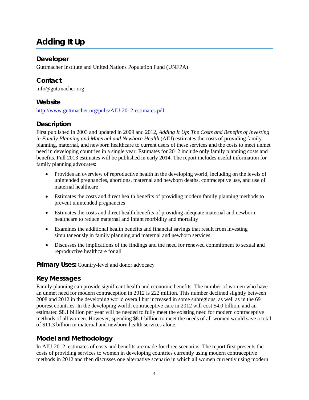# <span id="page-11-0"></span>**Adding It Up**

#### **Developer**

Guttmacher Institute and United Nations Population Fund (UNFPA)

# **Contact**

info@guttmacher.org

# **Website**

<http://www.guttmacher.org/pubs/AIU-2012-estimates.pdf>

# **Description**

First published in 2003 and updated in 2009 and 2012, *Adding It Up*: *The Costs and Benefits of Investing in Family Planning and Maternal and Newborn Health* (AIU) estimates the costs of providing family planning, maternal, and newborn healthcare to current users of these services and the costs to meet unmet need in developing countries in a single year. Estimates for 2012 include only family planning costs and benefits. Full 2013 estimates will be published in early 2014. The report includes useful information for family planning advocates:

- Provides an overview of reproductive health in the developing world, including on the levels of unintended pregnancies, abortions, maternal and newborn deaths, contraceptive use, and use of maternal healthcare
- Estimates the costs and direct health benefits of providing modern family planning methods to prevent unintended pregnancies
- Estimates the costs and direct health benefits of providing adequate maternal and newborn healthcare to reduce maternal and infant morbidity and mortality
- Examines the additional health benefits and financial savings that result from investing simultaneously in family planning and maternal and newborn services
- Discusses the implications of the findings and the need for renewed commitment to sexual and reproductive healthcare for all

**Primary Uses:** Country-level and donor advocacy

#### **Key Messages**

Family planning can provide significant health and economic benefits. The number of women who have an unmet need for modern contraception in 2012 is 222 million. This number declined slightly between 2008 and 2012 in the developing world overall but increased in some subregions, as well as in the 69 poorest countries. In the developing world, contraceptive care in 2012 will cost \$4.0 billion, and an estimated \$8.1 billion per year will be needed to fully meet the existing need for modern contraceptive methods of all women. However, spending \$8.1 billion to meet the needs of all women would save a total of \$11.3 billion in maternal and newborn health services alone.

# **Model and Methodology**

In AIU-2012, estimates of costs and benefits are made for three scenarios. The report first presents the costs of providing services to women in developing countries currently using modern contraceptive methods in 2012 and then discusses one alternative scenario in which all women currently using modern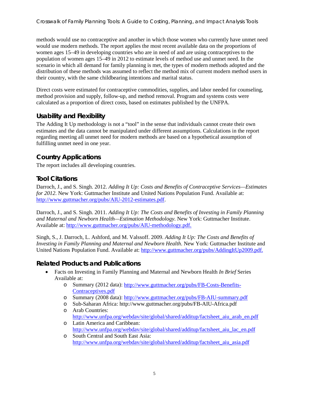methods would use no contraceptive and another in which those women who currently have unmet need would use modern methods. The report applies the most recent available data on the proportions of women ages 15–49 in developing countries who are in need of and are using contraceptives to the population of women ages 15–49 in 2012 to estimate levels of method use and unmet need. In the scenario in which all demand for family planning is met, the types of modern methods adopted and the distribution of these methods was assumed to reflect the method mix of current modern method users in their country, with the same childbearing intentions and marital status.

Direct costs were estimated for contraceptive commodities, supplies, and labor needed for counseling, method provision and supply, follow-up, and method removal. Program and systems costs were calculated as a proportion of direct costs, based on estimates published by the UNFPA.

# **Usability and Flexibility**

The Adding It Up methodology is not a "tool" in the sense that individuals cannot create their own estimates and the data cannot be manipulated under different assumptions. Calculations in the report regarding meeting all unmet need for modern methods are based on a hypothetical assumption of fulfilling unmet need in one year.

#### **Country Applications**

The report includes all developing countries.

#### **Tool Citations**

Darroch, J., and S. Singh. 2012. *Adding It Up: Costs and Benefits of Contraceptive Services—Estimates for 2012*. New York: Guttmacher Institute and United Nations Population Fund. Available at: [http://www.guttmacher.org/pubs/AIU-2012-estimates.pdf.](http://www.guttmacher.org/pubs/AIU-2012-estimates.pdf)

Darroch, J., and S. Singh. 2011. *Adding It Up: The Costs and Benefits of Investing in Family Planning and Maternal and Newborn Health—Estimation Methodology*. New York: Guttmacher Institute. Available at: [http://www.guttmacher.org/pubs/AIU-methodology.pdf.](http://www.guttmacher.org/pubs/AIU-methodology.pdf)

Singh, S., J. Darroch, L. Ashford, and M. Valssoff. 2009. *Adding It Up: The Costs and Benefits of Investing in Family Planning and Maternal and Newborn Health*. New York: Guttmacher Institute and United Nations Population Fund. Available at: [http://www.guttmacher.org/pubs/AddingItUp2009.pdf.](http://www.guttmacher.org/pubs/AddingItUp2009.pdf)

# **Related Products and Publications**

- Facts on Investing in Family Planning and Maternal and Newborn Health *In Brief* Series Available at:
	- o Summary (2012 data)[: http://www.guttmacher.org/pubs/FB-Costs-Benefits-](http://www.guttmacher.org/pubs/FB-Costs-Benefits-Contraceptives.pdf)[Contraceptives.pdf](http://www.guttmacher.org/pubs/FB-Costs-Benefits-Contraceptives.pdf)
	- o Summary (2008 data): <http://www.guttmacher.org/pubs/FB-AIU-summary.pdf>
	- o Sub-Saharan Africa: http://www.guttmacher.org/pubs/FB-AIU-Africa.pdf
	- o Arab Countries: [http://www.unfpa.org/webdav/site/global/shared/additup/factsheet\\_aiu\\_arab\\_en.pdf](http://www.unfpa.org/webdav/site/global/shared/additup/factsheet_aiu_arab_en.pdf)
	- o Latin America and Caribbean: [http://www.unfpa.org/webdav/site/global/shared/additup/factsheet\\_aiu\\_lac\\_en.pdf](http://www.unfpa.org/webdav/site/global/shared/additup/factsheet_aiu_lac_en.pdf)
	- o South Central and South East Asia: [http://www.unfpa.org/webdav/site/global/shared/additup/factsheet\\_aiu\\_asia.pdf](http://www.unfpa.org/webdav/site/global/shared/additup/factsheet_aiu_asia.pdf)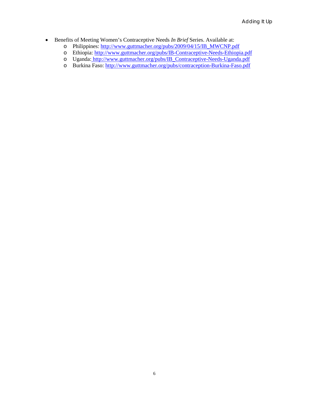- Benefits of Meeting Women's Contraceptive Needs *In Brief* Series. Available at:
	- o Philippines: [http://www.guttmacher.org/pubs/2009/04/15/IB\\_MWCNP.pdf](http://www.guttmacher.org/pubs/2009/04/15/IB_MWCNP.pdf)
	- o Ethiopia:<http://www.guttmacher.org/pubs/IB-Contraceptive-Needs-Ethiopia.pdf>
	- o Uganda: [http://www.guttmacher.org/pubs/IB\\_Contraceptive-Needs-Uganda.pdf](http://www.guttmacher.org/pubs/IB_Contraceptive-Needs-Uganda.pdf)
	- o Burkina Faso:<http://www.guttmacher.org/pubs/contraception-Burkina-Faso.pdf>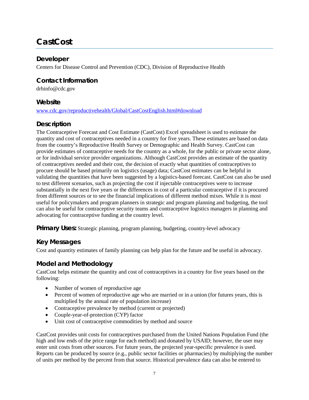# <span id="page-14-0"></span>**CastCost**

#### **Developer**

Centers for Disease Control and Prevention (CDC), Division of Reproductive Health

#### **Contact Information**

[drhinfo@cdc.gov](mailto:drhinfo@cdc.gov)

#### **Website**

[www.cdc.gov/reproductivehealth/Global/CastCostEnglish.html#download](http://www.cdc.gov/reproductivehealth/Global/CastCostEnglish.html#download)

#### **Description**

The Contraceptive Forecast and Cost Estimate (CastCost) Excel spreadsheet is used to estimate the quantity and cost of contraceptives needed in a country for five years. These estimates are based on data from the country's Reproductive Health Survey or Demographic and Health Survey. CastCost can provide estimates of contraceptive needs for the country as a whole, for the public or private sector alone, or for individual service provider organizations. Although CastCost provides an estimate of the quantity of contraceptives needed and their cost, the decision of exactly what quantities of contraceptives to procure should be based primarily on logistics (usage) data; CastCost estimates can be helpful in validating the quantities that have been suggested by a logistics-based forecast. CastCost can also be used to test different scenarios, such as projecting the cost if injectable contraceptives were to increase substantially in the next five years or the differences in cost of a particular contraceptive if it is procured from different sources or to see the financial implications of different method mixes. While it is most useful for policymakers and program planners in strategic and program planning and budgeting, the tool can also be useful for contraceptive security teams and contraceptive logistics managers in planning and advocating for contraceptive funding at the country level.

**Primary Uses:** Strategic planning, program planning, budgeting, country-level advocacy

#### **Key Messages**

Cost and quantity estimates of family planning can help plan for the future and be useful in advocacy.

#### **Model and Methodology**

CastCost helps estimate the quantity and cost of contraceptives in a country for five years based on the following:

- Number of women of reproductive age
- Percent of women of reproductive age who are married or in a union (for futures years, this is multiplied by the annual rate of population increase)
- Contraceptive prevalence by method (current or projected)
- Couple-year-of-protection (CYP) factor
- Unit cost of contraceptive commodities by method and source

CastCost provides unit costs for contraceptives purchased from the United Nations Population Fund (the high and low ends of the price range for each method) and donated by USAID; however, the user may enter unit costs from other sources. For future years, the projected year-specific prevalence is used. Reports can be produced by source (e.g., public sector facilities or pharmacies) by multiplying the number of units per method by the percent from that source. Historical prevalence data can also be entered to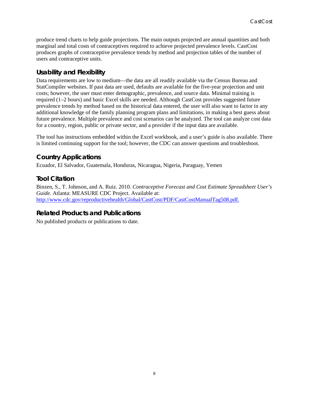produce trend charts to help guide projections. The main outputs projected are annual quantities and both marginal and total costs of contraceptives required to achieve projected prevalence levels. CastCost produces graphs of contraceptive prevalence trends by method and projection tables of the number of users and contraceptive units.

#### **Usability and Flexibility**

Data requirements are low to medium—the data are all readily available via the Census Bureau and StatCompiler websites. If past data are used, defaults are available for the five-year projection and unit costs; however, the user must enter demographic, prevalence, and source data. Minimal training is required (1–2 hours) and basic Excel skills are needed. Although CastCost provides suggested future prevalence trends by method based on the historical data entered, the user will also want to factor in any additional knowledge of the family planning program plans and limitations, in making a best guess about future prevalence. Multiple prevalence and cost scenarios can be analyzed. The tool can analyze cost data for a country, region, public or private sector, and a provider if the input data are available.

The tool has instructions embedded within the Excel workbook, and a user's guide is also available. There is limited continuing support for the tool; however, the CDC can answer questions and troubleshoot.

#### **Country Applications**

Ecuador, El Salvador, Guatemala, Honduras, Nicaragua, Nigeria, Paraguay, Yemen

#### **Tool Citation**

Binzen, S., T. Johnson, and A. Ruiz. 2010. *Contraceptive Forecast and Cost Estimate Spreadsheet User's Guide*. Atlanta: MEASURE CDC Project. Available at: [http://www.cdc.gov/reproductivehealth/Global/CastCost/PDF/CastCostManualTag508.pdf.](http://www.cdc.gov/reproductivehealth/Global/CastCost/PDF/CastCostManualTag508.pdf)

# **Related Products and Publications**

No published products or publications to date.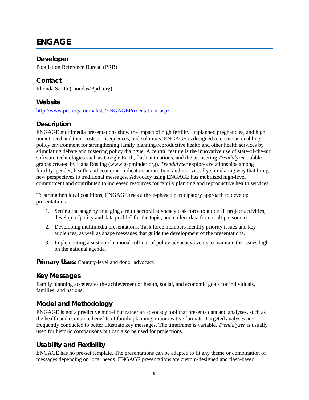# <span id="page-16-0"></span>**ENGAGE**

#### **Developer**

Population Reference Bureau (PRB)

#### **Contact**

Rhonda Smith [\(rhondas@prb.org\)](mailto:rhondas@prb.org)

#### **Website**

<http://www.prb.org/Journalists/ENGAGEPresentations.aspx>

# **Description**

ENGAGE multimedia presentations show the impact of high fertility, unplanned pregnancies, and high unmet need and their costs, consequences, and solutions. ENGAGE is designed to create an enabling policy environment for strengthening family planning/reproductive health and other health services by stimulating debate and fostering policy dialogue. A central feature is the innovative use of state-of-the-art software technologies such as Google Earth, flash animations, and the pioneering *Trendalyzer* bubble graphs created by Hans Rosling (www.gapminder.org). *Trendalyzer* explores relationships among fertility, gender, health, and economic indicators across time and in a visually stimulating way that brings new perspectives to traditional messages. Advocacy using ENGAGE has mobilized high-level commitment and contributed to increased resources for family planning and reproductive health services.

To strengthen local coalitions, ENGAGE uses a three-phased participatory approach to develop presentations:

- 1. Setting the stage by engaging a multisectoral advocacy task force to guide all project activities, develop a "policy and data profile" for the topic, and collect data from multiple sources.
- 2. Developing multimedia presentations. Task force members identify priority issues and key audiences, as well as shape messages that guide the development of the presentations.
- 3. Implementing a sustained national roll-out of policy advocacy events to maintain the issues high on the national agenda.

**Primary Uses:** Country-level and donor advocacy

# **Key Messages**

Family planning accelerates the achievement of health, social, and economic goals for individuals, families, and nations.

# **Model and Methodology**

ENGAGE is not a predictive model but rather an advocacy tool that presents data and analyses, such as the health and economic benefits of family planning, in innovative formats. Targeted analyses are frequently conducted to better illustrate key messages. The timeframe is variable. *Trendalyzer* is usually used for historic comparisons but can also be used for projections.

# **Usability and Flexibility**

ENGAGE has no pre-set template. The presentations can be adapted to fit any theme or combination of messages depending on local needs. ENGAGE presentations are custom-designed and flash-based.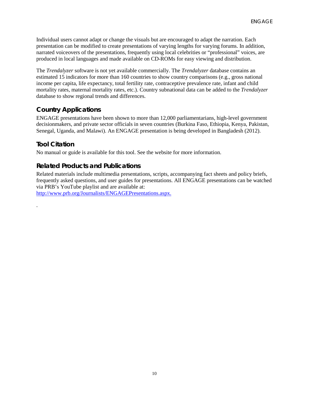Individual users cannot adapt or change the visuals but are encouraged to adapt the narration. Each presentation can be modified to create presentations of varying lengths for varying forums. In addition, narrated voiceovers of the presentations, frequently using local celebrities or "professional" voices, are produced in local languages and made available on CD-ROMs for easy viewing and distribution.

The *Trendalyzer* software is not yet available commercially. The *Trendalyzer* database contains an estimated 15 indicators for more than 160 countries to show country comparisons (e.g., gross national income per capita, life expectancy, total fertility rate, contraceptive prevalence rate, infant and child mortality rates, maternal mortality rates, etc.). Country subnational data can be added to the *Trendalyzer*  database to show regional trends and differences.

#### **Country Applications**

ENGAGE presentations have been shown to more than 12,000 parliamentarians, high-level government decisionmakers, and private sector officials in seven countries (Burkina Faso, Ethiopia, Kenya, Pakistan, Senegal, Uganda, and Malawi). An ENGAGE presentation is being developed in Bangladesh (2012).

#### **Tool Citation**

.

No manual or guide is available for this tool. See the website for more information.

#### **Related Products and Publications**

Related materials include multimedia presentations, scripts, accompanying fact sheets and policy briefs, frequently asked questions, and user guides for presentations. All ENGAGE presentations can be watched via PRB's YouTube playlist and are available at:

[http://www.prb.org/Journalists/ENGAGEPresentations.aspx.](http://www.prb.org/Journalists/ENGAGEPresentations.aspx)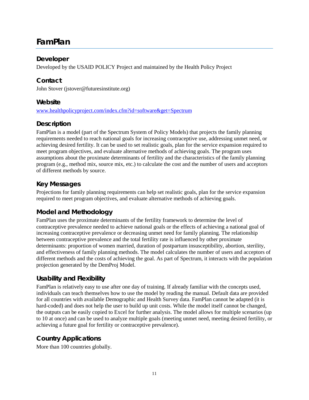# <span id="page-18-0"></span>**FamPlan**

#### **Developer**

Developed by the USAID POLICY Project and maintained by the Health Policy Project

#### **Contact**

John Stover [\(jstover@futuresinstitute.org\)](mailto:jstover@futuresinstitute.org)

#### **Website**

[www.healthpolicyproject.com/index.cfm?id=software&get=Spectrum](http://www.healthpolicyproject.com/index.cfm?id=software&get=Spectrum)

#### **Description**

FamPlan is a model (part of the Spectrum System of Policy Models) that projects the family planning requirements needed to reach national goals for increasing contraceptive use, addressing unmet need, or achieving desired fertility. It can be used to set realistic goals, plan for the service expansion required to meet program objectives, and evaluate alternative methods of achieving goals. The program uses assumptions about the proximate determinants of fertility and the characteristics of the family planning program (e.g., method mix, source mix, etc.) to calculate the cost and the number of users and acceptors of different methods by source.

# **Key Messages**

Projections for family planning requirements can help set realistic goals, plan for the service expansion required to meet program objectives, and evaluate alternative methods of achieving goals.

# **Model and Methodology**

FamPlan uses the proximate determinants of the fertility framework to determine the level of contraceptive prevalence needed to achieve national goals or the effects of achieving a national goal of increasing contraceptive prevalence or decreasing unmet need for family planning. The relationship between contraceptive prevalence and the total fertility rate is influenced by other proximate determinants: proportion of women married, duration of postpartum insusceptibility, abortion, sterility, and effectiveness of family planning methods. The model calculates the number of users and acceptors of different methods and the costs of achieving the goal. As part of Spectrum, it interacts with the population projection generated by the DemProj Model.

# **Usability and Flexibility**

FamPlan is relatively easy to use after one day of training. If already familiar with the concepts used, individuals can teach themselves how to use the model by reading the manual. Default data are provided for all countries with available Demographic and Health Survey data. FamPlan cannot be adapted (it is hard-coded) and does not help the user to build up unit costs. While the model itself cannot be changed, the outputs can be easily copied to Excel for further analysis. The model allows for multiple scenarios (up to 10 at once) and can be used to analyze multiple goals (meeting unmet need, meeting desired fertility, or achieving a future goal for fertility or contraceptive prevalence).

# **Country Applications**

More than 100 countries globally.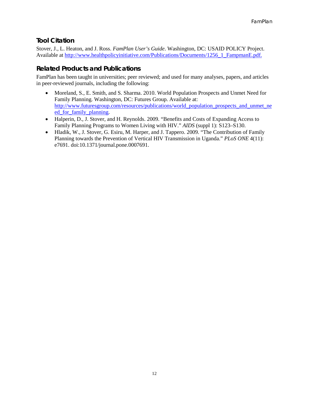#### **Tool Citation**

Stover, J., L. Heaton, and J. Ross. *FamPlan User's Guide*. Washington, DC: USAID POLICY Project. Available at [http://www.healthpolicyinitiative.com/Publications/Documents/1256\\_1\\_FampmanE.pdf.](http://www.healthpolicyinitiative.com/Publications/Documents/1256_1_FampmanE.pdf)

#### **Related Products and Publications**

FamPlan has been taught in universities; peer reviewed; and used for many analyses, papers, and articles in peer-reviewed journals, including the following:

- Moreland, S., E. Smith, and S. Sharma. 2010. World Population Prospects and Unmet Need for Family Planning. Washington, DC: Futures Group. Available at: [http://www.futuresgroup.com/resources/publications/world\\_population\\_prospects\\_and\\_unmet\\_ne](http://www.futuresgroup.com/resources/publications/world_population_prospects_and_unmet_need_for_family_planning) ed for family planning.
- Halperin, D., J. Stover, and H. Reynolds. 2009. "Benefits and Costs of Expanding Access to Family Planning Programs to Women Living with HIV." *AIDS* (suppl 1): S123–S130.
- Hladik, W., J. Stover, G. Esiru, M. Harper, and J. Tappero. 2009. "The Contribution of Family Planning towards the Prevention of Vertical HIV Transmission in Uganda." *PLoS ONE* 4(11): e7691. doi:10.1371/journal.pone.0007691.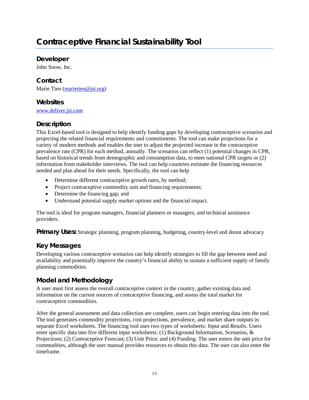#### <span id="page-20-0"></span>**Developer**

John Snow, Inc.

#### **Contact**

Marie Tien [\(marietien@jsi.org\)](mailto:marietien@jsi.org)

#### **Websites**

[www.deliver.jsi.com](http://www.deliver.jsi.com/)

#### **Description**

This Excel-based tool is designed to help identify funding gaps by developing contraceptive scenarios and projecting the related financial requirements and commitments. The tool can make projections for a variety of modern methods and enables the user to adjust the projected increase in the contraceptive prevalence rate (CPR) for each method, annually. The scenarios can reflect (1) potential changes in CPR, based on historical trends from demographic and consumption data, to meet national CPR targets or (2) information from stakeholder interviews. The tool can help countries estimate the financing resources needed and plan ahead for their needs. Specifically, the tool can help

- Determine different contraceptive growth rates, by method;
- Project contraceptive commodity unit and financing requirements;
- Determine the financing gap; and
- Understand potential supply market options and the financial impact.

The tool is ideal for program managers, financial planners or managers, and technical assistance providers.

**Primary Uses:** Strategic planning, program planning, budgeting, country-level and donor advocacy

#### **Key Messages**

Developing various contraceptive scenarios can help identify strategies to fill the gap between need and availability and potentially improve the country's financial ability to sustain a sufficient supply of family planning commodities.

# **Model and Methodology**

A user must first assess the overall contraceptive context in the country, gather existing data and information on the current sources of contraceptive financing, and assess the total market for contraceptive commodities.

After the general assessment and data collection are complete, users can begin entering data into the tool. The tool generates commodity projections, cost projections, prevalence, and market share outputs in separate Excel worksheets. The financing tool uses two types of worksheets: *Input* and *Results*. Users enter specific data into five different input worksheets: (1) Background Information, Scenarios, & Projections; (2) Contraceptive Forecast; (3) Unit Price; and (4) Funding. The user enters the unit price for commodities, although the user manual provides resources to obtain this data. The user can also enter the timeframe.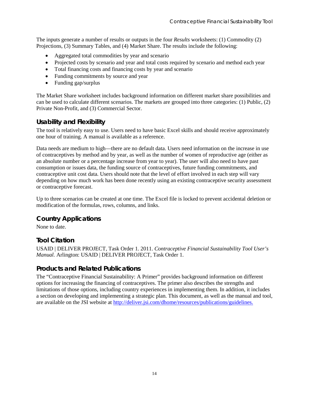The inputs generate a number of results or outputs in the four *Results* worksheets: (1) Commodity (2) Projections, (3) Summary Tables, and (4) Market Share. The results include the following:

- Aggregated total commodities by year and scenario
- Projected costs by scenario and year and total costs required by scenario and method each year
- Total financing costs and financing costs by year and scenario
- Funding commitments by source and year
- Funding gap/surplus

The Market Share worksheet includes background information on different market share possibilities and can be used to calculate different scenarios. The markets are grouped into three categories: (1) Public, (2) Private Non-Profit, and (3) Commercial Sector.

#### **Usability and Flexibility**

The tool is relatively easy to use. Users need to have basic Excel skills and should receive approximately one hour of training. A manual is available as a reference.

Data needs are medium to high—there are no default data. Users need information on the increase in use of contraceptives by method and by year, as well as the number of women of reproductive age (either as an absolute number or a percentage increase from year to year). The user will also need to have past consumption or issues data, the funding source of contraceptives, future funding commitments, and contraceptive unit cost data. Users should note that the level of effort involved in each step will vary depending on how much work has been done recently using an existing contraceptive security assessment or contraceptive forecast.

Up to three scenarios can be created at one time. The Excel file is locked to prevent accidental deletion or modification of the formulas, rows, columns, and links.

#### **Country Applications**

None to date.

#### **Tool Citation**

USAID | DELIVER PROJECT, Task Order 1. 2011. *Contraceptive Financial Sustainability Tool User's Manual.* Arlington: USAID | DELIVER PROJECT, Task Order 1.

#### **Products and Related Publications**

The "Contraceptive Financial Sustainability: A Primer" provides background information on different options for increasing the financing of contraceptives. The primer also describes the strengths and limitations of those options, including country experiences in implementing them. In addition, it includes a section on developing and implementing a strategic plan. This document, as well as the manual and tool, are available on the JSI website at http://deliver.jsi.com/dhome/resources/publications/guidelines.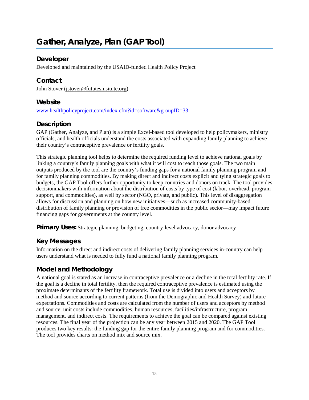# <span id="page-22-0"></span>**Gather, Analyze, Plan (GAP Tool)**

#### **Developer**

Developed and maintained by the USAID-funded Health Policy Project

# **Contact**

John Stover [\(jstover@fututesinsitute.org\)](mailto:jstover@fututesinsitute.org)

#### **Website**

[www.healthpolicyproject.com/index.cfm?id=software&groupID=33](http://www.healthpolicyproject.com/index.cfm?id=software&groupID=33)

# **Description**

GAP (Gather, Analyze, and Plan) is a simple Excel-based tool developed to help policymakers, ministry officials, and health officials understand the costs associated with expanding family planning to achieve their country's contraceptive prevalence or fertility goals.

This strategic planning tool helps to determine the required funding level to achieve national goals by linking a country's family planning goals with what it will cost to reach those goals. The two main outputs produced by the tool are the country's funding gaps for a national family planning program and for family planning commodities. By making direct and indirect costs explicit and tying strategic goals to budgets, the GAP Tool offers further opportunity to keep countries and donors on track. The tool provides decisionmakers with information about the distribution of costs by type of cost (labor, overhead, program support, and commodities), as well by sector (NGO, private, and public). This level of disaggregation allows for discussion and planning on how new initiatives—such as increased community-based distribution of family planning or provision of free commodities in the public sector—may impact future financing gaps for governments at the country level.

**Primary Uses:** Strategic planning, budgeting, country-level advocacy, donor advocacy

#### **Key Messages**

Information on the direct and indirect costs of delivering family planning services in-country can help users understand what is needed to fully fund a national family planning program.

#### **Model and Methodology**

A national goal is stated as an increase in contraceptive prevalence or a decline in the total fertility rate. If the goal is a decline in total fertility, then the required contraceptive prevalence is estimated using the proximate determinants of the fertility framework. Total use is divided into users and acceptors by method and source according to current patterns (from the Demographic and Health Survey) and future expectations. Commodities and costs are calculated from the number of users and acceptors by method and source; unit costs include commodities, human resources, facilities/infrastructure, program management, and indirect costs. The requirements to achieve the goal can be compared against existing resources. The final year of the projection can be any year between 2015 and 2020. The GAP Tool produces two key results: the funding gap for the entire family planning program and for commodities. The tool provides charts on method mix and source mix.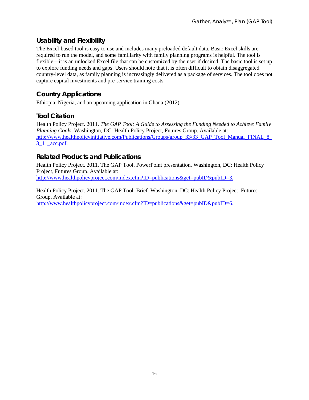#### **Usability and Flexibility**

The Excel-based tool is easy to use and includes many preloaded default data. Basic Excel skills are required to run the model, and some familiarity with family planning programs is helpful. The tool is flexible—it is an unlocked Excel file that can be customized by the user if desired. The basic tool is set up to explore funding needs and gaps. Users should note that it is often difficult to obtain disaggregated country-level data, as family planning is increasingly delivered as a package of services. The tool does not capture capital investments and pre-service training costs.

#### **Country Applications**

Ethiopia, Nigeria, and an upcoming application in Ghana (2012)

#### **Tool Citation**

Health Policy Project. 2011. *The GAP Tool: A Guide to Assessing the Funding Needed to Achieve Family Planning Goals*. Washington, DC: Health Policy Project, Futures Group. Available at: [http://www.healthpolicyinitiative.com/Publications/Groups/group\\_33/33\\_GAP\\_Tool\\_Manual\\_FINAL\\_8\\_](http://www.healthpolicyinitiative.com/Publications/Groups/group_33/33_GAP_Tool_Manual_FINAL_8_3_11_acc.pdf) [3\\_11\\_acc.pdf.](http://www.healthpolicyinitiative.com/Publications/Groups/group_33/33_GAP_Tool_Manual_FINAL_8_3_11_acc.pdf)

#### **Related Products and Publications**

Health Policy Project. 2011. The GAP Tool. PowerPoint presentation. Washington, DC: Health Policy Project, Futures Group. Available at: [http://www.healthpolicyproject.com/index.cfm?ID=publications&get=pubID&pubID=3.](http://www.healthpolicyproject.com/index.cfm?ID=publications&get=pubID&pubID=3)

Health Policy Project. 2011. The GAP Tool. Brief. Washington, DC: Health Policy Project, Futures Group. Available at:

[http://www.healthpolicyproject.com/index.cfm?ID=publications&get=pubID&pubID=6.](http://www.healthpolicyproject.com/index.cfm?ID=publications&get=pubID&pubID=6)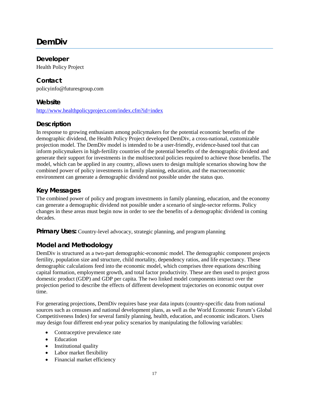# <span id="page-24-0"></span>**DemDiv**

#### **Developer**

Health Policy Project

# **Contact**

policyinfo@futuresgroup.com

#### **Website**

<http://www.healthpolicyproject.com/index.cfm?id=index>

#### **Description**

In response to growing enthusiasm among policymakers for the potential economic benefits of the demographic dividend, the Health Policy Project developed DemDiv, a cross-national, customizable projection model. The DemDiv model is intended to be a user-friendly, evidence-based tool that can inform policymakers in high-fertility countries of the potential benefits of the demographic dividend and generate their support for investments in the multisectoral policies required to achieve those benefits. The model, which can be applied in any country, allows users to design multiple scenarios showing how the combined power of policy investments in family planning, education, and the macroeconomic environment can generate a demographic dividend not possible under the status quo.

#### **Key Messages**

The combined power of policy and program investments in family planning, education, and the economy can generate a demographic dividend not possible under a scenario of single-sector reforms. Policy changes in these areas must begin now in order to see the benefits of a demographic dividend in coming decades.

**Primary Uses:** Country-level advocacy, strategic planning, and program planning

# **Model and Methodology**

DemDiv is structured as a two-part demographic-economic model. The demographic component projects fertility, population size and structure, child mortality, dependency ratios, and life expectancy. These demographic calculations feed into the economic model, which comprises three equations describing capital formation, employment growth, and total factor productivity. These are then used to project gross domestic product (GDP) and GDP per capita. The two linked model components interact over the projection period to describe the effects of different development trajectories on economic output over time.

For generating projections, DemDiv requires base year data inputs (country-specific data from national sources such as censuses and national development plans, as well as the World Economic Forum's Global Competitiveness Index) for several family planning, health, education, and economic indicators. Users may design four different end-year policy scenarios by manipulating the following variables:

- Contraceptive prevalence rate
- Education
- Institutional quality
- Labor market flexibility
- Financial market efficiency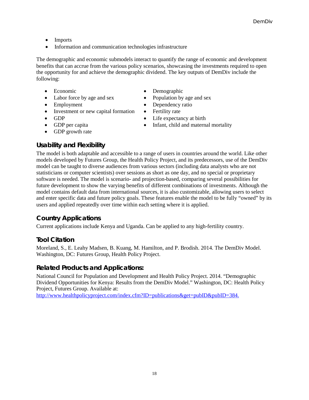- Imports
- Information and communication technologies infrastructure

The demographic and economic submodels interact to quantify the range of economic and development benefits that can accrue from the various policy scenarios, showcasing the investments required to open the opportunity for and achieve the demographic dividend. The key outputs of DemDiv include the following:

- 
- Labor force by age and sex Population by age and sex
- 
- Investment or new capital formation
- GDP
- 
- GDP growth rate

**Usability and Flexibility**

- Economic Demographic
	-
- Employment Dependency ratio
	- Fertility rate
	- Life expectancy at birth
- GDP per capita Infant, child and maternal mortality

The model is both adaptable and accessible to a range of users in countries around the world. Like other models developed by Futures Group, the Health Policy Project, and its predecessors, use of the DemDiv model can be taught to diverse audiences from various sectors (including data analysts who are not statisticians or computer scientists) over sessions as short as one day, and no special or proprietary software is needed. The model is scenario- and projection-based, comparing several possibilities for future development to show the varying benefits of different combinations of investments. Although the model contains default data from international sources, it is also customizable, allowing users to select and enter specific data and future policy goals. These features enable the model to be fully "owned" by its users and applied repeatedly over time within each setting where it is applied.

#### **Country Applications**

Current applications include Kenya and Uganda. Can be applied to any high-fertility country.

#### **Tool Citation**

Moreland, S., E. Leahy Madsen, B. Kuang, M. Hamilton, and P. Brodish. 2014. The DemDiv Model. Washington, DC: Futures Group, Health Policy Project.

#### **Related Products and Applications:**

National Council for Population and Development and Health Policy Project. 2014. "Demographic Dividend Opportunities for Kenya: Results from the DemDiv Model." Washington, DC: Health Policy Project, Futures Group. Available at:

[http://www.healthpolicyproject.com/index.cfm?ID=publications&get=pubID&pubID=384.](http://www.healthpolicyproject.com/index.cfm?ID=publications&get=pubID&pubID=384)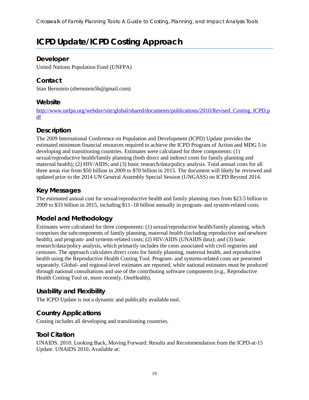# <span id="page-26-0"></span>**ICPD Update/ICPD Costing Approach**

#### **Developer**

United Nations Population Fund (UNFPA)

#### **Contact**

Stan Bernstein (sbernstein5b@gmail.com)

#### **Website**

http://www.unfpa.org/webdav/site/global/shared/documents/publications/2010/Revised Costing ICPD.p [df](http://www.unfpa.org/webdav/site/global/shared/documents/publications/2010/Revised_Costing_ICPD.pdf)

# **Description**

The 2009 International Conference on Population and Development (ICPD) Update provides the estimated minimum financial resources required to achieve the ICPD Program of Action and MDG 5 in developing and transitioning countries. Estimates were calculated for three components: (1) sexual/reproductive health/family planning (both direct and indirect costs for family planning and maternal health); (2) HIV/AIDS; and (3) basic research/data/policy analysis. Total annual costs for all three areas rise from \$50 billion in 2009 to \$70 billion in 2015. The document will likely be reviewed and updated prior to the 2014 UN General Assembly Special Session (UNGASS) on ICPD Beyond 2014.

#### **Key Messages**

The estimated annual cost for sexual/reproductive health and family planning rises from \$23.5 billion in 2009 to \$33 billion in 2015, including \$11–18 billion annually in program- and system-related costs.

# **Model and Methodology**

Estimates were calculated for three components: (1) sexual/reproductive health/family planning, which comprises the subcomponents of family planning, maternal health (including reproductive and newborn health), and program- and systems-related costs; (2) HIV/AIDS (UNAIDS data); and (3) basic research/data/policy analysis, which primarily includes the costs associated with civil registries and censuses. The approach calculates direct costs for family planning, maternal health, and reproductive health using the Reproductive Health Costing Tool. Program- and systems-related costs are presented separately. Global- and regional-level estimates are reported, while national estimates must be produced through national consultations and use of the contributing software components (e.g., Reproductive Health Costing Tool or, more recently, OneHealth).

#### **Usability and Flexibility**

The ICPD Update is not a dynamic and publically available tool.

#### **Country Applications**

Costing includes all developing and transitioning countries.

#### **Tool Citation**

UNAIDS. 2010. Looking Back, Moving Forward: Results and Recommendation from the ICPD-at-15 Update. UNAIDS 2010. Available at: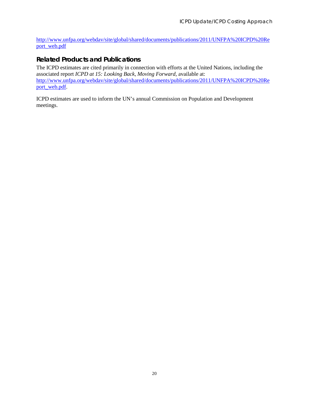[http://www.unfpa.org/webdav/site/global/shared/documents/publications/2011/UNFPA%20ICPD%20Re](http://www.unfpa.org/webdav/site/global/shared/documents/publications/2011/UNFPA%20ICPD%20Report_web.pdf) [port\\_web.pdf](http://www.unfpa.org/webdav/site/global/shared/documents/publications/2011/UNFPA%20ICPD%20Report_web.pdf)

#### **Related Products and Publications**

The ICPD estimates are cited primarily in connection with efforts at the United Nations, including the associated report *ICPD at 15: Looking Back, Moving Forward,* available at: [http://www.unfpa.org/webdav/site/global/shared/documents/publications/2011/UNFPA%20ICPD%20Re](http://www.unfpa.org/webdav/site/global/shared/documents/publications/2011/UNFPA%20ICPD%20Report_web.pdf) [port\\_web.pdf.](http://www.unfpa.org/webdav/site/global/shared/documents/publications/2011/UNFPA%20ICPD%20Report_web.pdf)

ICPD estimates are used to inform the UN's annual Commission on Population and Development meetings.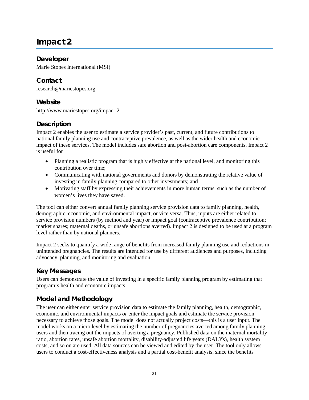# <span id="page-28-0"></span>**Impact 2**

#### **Developer**

Marie Stopes International (MSI)

#### **Contact**

[research@mariestopes.org](mailto:research@mariestopes.org)

#### **Website**

http://www.mariestopes.org/impact-2

#### **Description**

Impact 2 enables the user to estimate a service provider's past, current, and future contributions to national family planning use and contraceptive prevalence, as well as the wider health and economic impact of these services. The model includes safe abortion and post-abortion care components. Impact 2 is useful for

- Planning a realistic program that is highly effective at the national level, and monitoring this contribution over time;
- Communicating with national governments and donors by demonstrating the relative value of investing in family planning compared to other investments; and
- Motivating staff by expressing their achievements in more human terms, such as the number of women's lives they have saved.

The tool can either convert annual family planning service provision data to family planning, health, demographic, economic, and environmental impact, or vice versa. Thus, inputs are either related to service provision numbers (by method and year) or impact goal (contraceptive prevalence contribution; market shares; maternal deaths, or unsafe abortions averted). Impact 2 is designed to be used at a program level rather than by national planners.

Impact 2 seeks to quantify a wide range of benefits from increased family planning use and reductions in unintended pregnancies. The results are intended for use by different audiences and purposes, including advocacy, planning, and monitoring and evaluation.

#### **Key Messages**

Users can demonstrate the value of investing in a specific family planning program by estimating that program's health and economic impacts.

#### **Model and Methodology**

The user can either enter service provision data to estimate the family planning, health, demographic, economic, and environmental impacts *or* enter the impact goals and estimate the service provision necessary to achieve those goals. The model does not actually project costs—this is a user input. The model works on a micro level by estimating the number of pregnancies averted among family planning users and then tracing out the impacts of averting a pregnancy. Published data on the maternal mortality ratio, abortion rates, unsafe abortion mortality, disability-adjusted life years (DALYs), health system costs, and so on are used. All data sources can be viewed and edited by the user. The tool only allows users to conduct a cost-effectiveness analysis and a partial cost-benefit analysis, since the benefits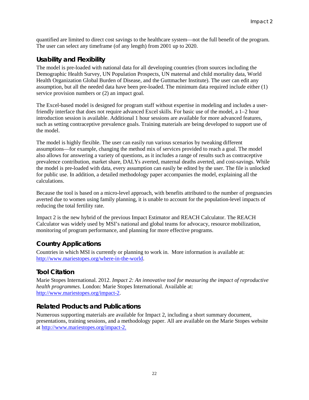quantified are limited to direct cost savings to the healthcare system—not the full benefit of the program. The user can select any timeframe (of any length) from 2001 up to 2020.

#### **Usability and Flexibility**

The model is pre-loaded with national data for all developing countries (from sources including the Demographic Health Survey, UN Population Prospects, UN maternal and child mortality data, World Health Organization Global Burden of Disease, and the Guttmacher Institute). The user can edit any assumption, but all the needed data have been pre-loaded. The minimum data required include either (1) service provision numbers or (2) an impact goal.

The Excel-based model is designed for program staff without expertise in modeling and includes a userfriendly interface that does not require advanced Excel skills. For basic use of the model, a 1–2 hour introduction session is available. Additional 1 hour sessions are available for more advanced features, such as setting contraceptive prevalence goals. Training materials are being developed to support use of the model.

The model is highly flexible. The user can easily run various scenarios by tweaking different assumptions—for example, changing the method mix of services provided to reach a goal. The model also allows for answering a variety of questions, as it includes a range of results such as contraceptive prevalence contribution, market share, DALYs averted, maternal deaths averted, and cost-savings. While the model is pre-loaded with data, every assumption can easily be edited by the user. The file is unlocked for public use. In addition, a detailed methodology paper accompanies the model, explaining all the calculations.

Because the tool is based on a micro-level approach, with benefits attributed to the number of pregnancies averted due to women using family planning, it is unable to account for the population-level impacts of reducing the total fertility rate.

Impact 2 is the new hybrid of the previous Impact Estimator and REACH Calculator. The REACH Calculator was widely used by MSI's national and global teams for advocacy, resource mobilization, monitoring of program performance, and planning for more effective programs.

#### **Country Applications**

Countries in which MSI is currently or planning to work in. More information is available at: [http://www.mariestopes.org/where-in-the-world.](http://www.mariestopes.org/where-in-the-world)

#### **Tool Citation**

Marie Stopes International. 2012. *Impact 2: An innovative tool for measuring the impact of reproductive health programmes*. London: Marie Stopes International. Available at: [http://www.mariestopes.org/impact-2.](http://www.mariestopes.org/impact-2)

#### **Related Products and Publications**

Numerous supporting materials are available for Impact 2, including a short summary document, presentations, training sessions, and a methodology paper. All are available on the Marie Stopes website at [http://www.mariestopes.org/impact-2.](http://www.mariestopes.org/impact-2)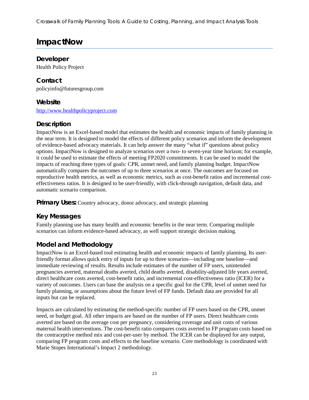Crosswalk of Family Planning Tools: A Guide to Costing, Planning, and Impact Analysis Tools

# <span id="page-30-0"></span>**ImpactNow**

**Developer**

Health Policy Project

# **Contact**

policyinfo@futuresgroup.com

# **Website**

[http://www.healthpolicyproject.com](http://www.healthpolicyproject.com/)

# **Description**

ImpactNow is an Excel-based model that estimates the health and economic impacts of family planning in the near term. It is designed to model the effects of different policy scenarios and inform the development of evidence-based advocacy materials. It can help answer the many "what if" questions about policy options. ImpactNow is designed to analyze scenarios over a two- to seven-year time horizon; for example, it could be used to estimate the effects of meeting FP2020 commitments. It can be used to model the impacts of reaching three types of goals: CPR, unmet need, and family planning budget. ImpactNow automatically compares the outcomes of up to three scenarios at once. The outcomes are focused on reproductive health metrics, as well as economic metrics, such as cost-benefit ratios and incremental costeffectiveness ratios. It is designed to be user-friendly, with click-through navigation, default data, and automatic scenario comparison.

**Primary Uses:** Country advocacy, donor advocacy, and strategic planning

# **Key Messages**

Family planning use has many health and economic benefits in the near term. Comparing multiple scenarios can inform evidence-based advocacy, as well support strategic decision making.

# **Model and Methodology**

ImpactNow is an Excel-based tool estimating health and economic impacts of family planning. Its userfriendly format allows quick entry of inputs for up to three scenarios—including one baseline—and immediate reviewing of results. Results include estimates of the number of FP users, unintended pregnancies averted, maternal deaths averted, child deaths averted, disability-adjusted life years averted, direct healthcare costs averted, cost-benefit ratio, and incremental cost-effectiveness ratio (ICER) for a variety of outcomes. Users can base the analysis on a specific goal for the CPR, level of unmet need for family planning, or assumptions about the future level of FP funds. Default data are provided for all inputs but can be replaced.

Impacts are calculated by estimating the method-specific number of FP users based on the CPR, unmet need, or budget goal. All other impacts are based on the number of FP users. Direct healthcare costs averted are based on the average cost per pregnancy, considering coverage and unit costs of various maternal health interventions. The cost-benefit ratio compares costs averted to FP program costs based on the contraceptive method mix and cost-per-user by method. The ICER can be displayed for any output, comparing FP program costs and effects to the baseline scenario. Core methodology is coordinated with Marie Stopes International's Impact 2 methodology.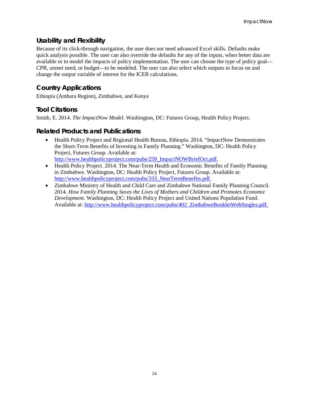#### **Usability and Flexibility**

Because of its click-through navigation, the user does not need advanced Excel skills. Defaults make quick analysis possible. The user can also override the defaults for any of the inputs, when better data are available or to model the impacts of policy implementation. The user can choose the type of policy goal— CPR, unmet need, or budget—to be modeled. The user can also select which outputs to focus on and change the output variable of interest for the ICER calculations.

#### **Country Applications**

Ethiopia (Amhara Region), Zimbabwe, and Kenya

#### **Tool Citations**

Smith, E. 2014. *The ImpactNow Model.* Washington, DC: Futures Group, Health Policy Project.

#### **Related Products and Publications**

- Health Policy Project and Regional Health Bureau, Ethiopia. 2014. "ImpactNow Demonstrates the Short-Term Benefits of Investing in Family Planning." Washington, DC: Health Policy Project, Futures Group. Available at: [http://www.healthpolicyproject.com/pubs/259\\_ImpactNOWBriefOct.pdf.](http://www.healthpolicyproject.com/pubs/259_ImpactNOWBriefOct.pdf)
- Health Policy Project. 2014. The Near-Term Health and Economic Benefits of Family Planning in Zimbabwe. Washington, DC: Health Policy Project, Futures Group. Available at: [http://www.healthpolicyproject.com/pubs/333\\_NearTermBenefits.pdf.](http://www.healthpolicyproject.com/pubs/333_NearTermBenefits.pdf)
- Zimbabwe Ministry of Health and Child Care and Zimbabwe National Family Planning Council. 2014. *How Family Planning Saves the Lives of Mothers and Children and Promotes Economic Development*. Washington, DC: Health Policy Project and United Nations Population Fund. Available at: [http://www.healthpolicyproject.com/pubs/402\\_ZimbabweBookletWebSingles.pdf.](http://www.healthpolicyproject.com/pubs/402_ZimbabweBookletWebSingles.pdf)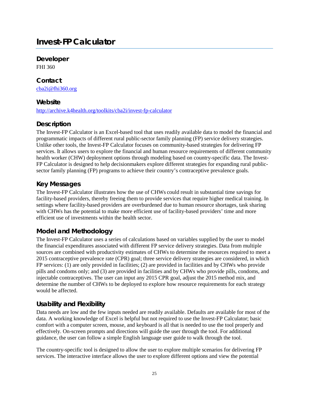# <span id="page-32-0"></span>**Invest-FP Calculator**

**Developer**

FHI 360

#### **Contact** [cba2i@fhi360.org](mailto:cba2i@fhi360.org)

#### **Website**

<http://archive.k4health.org/toolkits/cba2i/invest-fp-calculator>

#### **Description**

The Invest-FP Calculator is an Excel-based tool that uses readily available data to model the financial and programmatic impacts of different rural public-sector family planning (FP) service delivery strategies. Unlike other tools, the Invest-FP Calculator focuses on community-based strategies for delivering FP services. It allows users to explore the financial and human resource requirements of different community health worker (CHW) deployment options through modeling based on country-specific data. The Invest-FP Calculator is designed to help decisionmakers explore different strategies for expanding rural publicsector family planning (FP) programs to achieve their country's contraceptive prevalence goals.

# **Key Messages**

The Invest-FP Calculator illustrates how the use of CHWs could result in substantial time savings for facility-based providers, thereby freeing them to provide services that require higher medical training. In settings where facility-based providers are overburdened due to human resource shortages, task sharing with CHWs has the potential to make more efficient use of facility-based providers' time and more efficient use of investments within the health sector.

# **Model and Methodology**

The Invest-FP Calculator uses a series of calculations based on variables supplied by the user to model the financial expenditures associated with different FP service delivery strategies. Data from multiple sources are combined with productivity estimates of CHWs to determine the resources required to meet a 2015 contraceptive prevalence rate (CPR) goal; three service delivery strategies are considered, in which FP services: (1) are only provided in facilities; (2) are provided in facilities and by CHWs who provide pills and condoms only; and (3) are provided in facilities and by CHWs who provide pills, condoms, and injectable contraceptives. The user can input any 2015 CPR goal, adjust the 2015 method mix, and determine the number of CHWs to be deployed to explore how resource requirements for each strategy would be affected.

#### **Usability and Flexibility**

Data needs are low and the few inputs needed are readily available. Defaults are available for most of the data. A working knowledge of Excel is helpful but not required to use the Invest-FP Calculator; basic comfort with a computer screen, mouse, and keyboard is all that is needed to use the tool properly and effectively. On-screen prompts and directions will guide the user through the tool. For additional guidance, the user can follow a simple English language user guide to walk through the tool.

The country-specific tool is designed to allow the user to explore multiple scenarios for delivering FP services. The interactive interface allows the user to explore different options and view the potential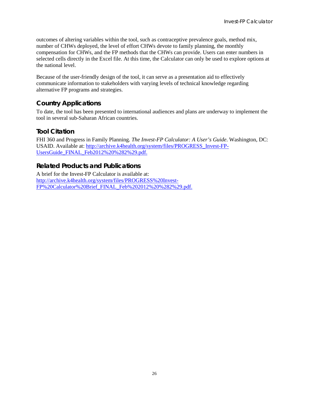outcomes of altering variables within the tool, such as contraceptive prevalence goals, method mix, number of CHWs deployed, the level of effort CHWs devote to family planning, the monthly compensation for CHWs, and the FP methods that the CHWs can provide. Users can enter numbers in selected cells directly in the Excel file. At this time, the Calculator can only be used to explore options at the national level.

Because of the user-friendly design of the tool, it can serve as a presentation aid to effectively communicate information to stakeholders with varying levels of technical knowledge regarding alternative FP programs and strategies.

# **Country Applications**

To date, the tool has been presented to international audiences and plans are underway to implement the tool in several sub-Saharan African countries.

#### **Tool Citation**

FHI 360 and Progress in Family Planning. *The Invest-FP Calculator: A User's Guide*. Washington, DC: USAID. Available at: [http://archive.k4health.org/system/files/PROGRESS\\_Invest-FP-](http://archive.k4health.org/system/files/PROGRESS_Invest-FP-UsersGuide_FINAL_Feb2012%20%282%29.pdf)[UsersGuide\\_FINAL\\_Feb2012%20%282%29.pdf.](http://archive.k4health.org/system/files/PROGRESS_Invest-FP-UsersGuide_FINAL_Feb2012%20%282%29.pdf)

#### **Related Products and Publications**

A brief for the Invest-FP Calculator is available at: [http://archive.k4health.org/system/files/PROGRESS%20Invest-](http://archive.k4health.org/system/files/PROGRESS%20Invest-FP%20Calculator%20Brief_FINAL_Feb%202012%20%282%29.pdf)[FP%20Calculator%20Brief\\_FINAL\\_Feb%202012%20%282%29.pdf.](http://archive.k4health.org/system/files/PROGRESS%20Invest-FP%20Calculator%20Brief_FINAL_Feb%202012%20%282%29.pdf)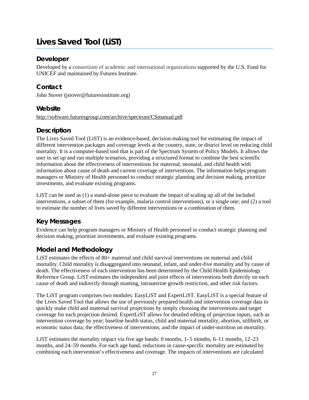# <span id="page-34-0"></span>**Lives Saved Tool (LiST)**

#### **Developer**

Developed by a consortium of academic and international organizations supported by the U.S. Fund for UNICEF and maintained by Futures Institute.

#### **Contact**

John Stover (jstover@futuresinstitute.org)

#### **Website**

<http://software.futuresgroup.com/archive/spectrum/CSmanual.pdf>

#### **Description**

The Lives Saved Tool (LiST) is an evidence-based, decision-making tool for estimating the impact of different intervention packages and coverage levels at the country, state, or district level on reducing child mortality. It is a computer-based tool that is part of the Spectrum System of Policy Models. It allows the user to set up and run multiple scenarios, providing a structured format to combine the best scientific information about the effectiveness of interventions for maternal, neonatal, and child health with information about cause of death and current coverage of interventions. The information helps program managers or Ministry of Health personnel to conduct strategic planning and decision making, prioritize investments, and evaluate existing programs.

LiST can be used as (1) a stand-alone piece to evaluate the impact of scaling up all of the included interventions, a subset of them (for example, malaria control interventions), or a single one; and (2) a tool to estimate the number of lives saved by different interventions or a combination of them.

# **Key Messages**

Evidence can help program managers or Ministry of Health personnel to conduct strategic planning and decision making, prioritize investments, and evaluate existing programs.

#### **Model and Methodology**

LiST estimates the effects of 80+ maternal and child survival interventions on maternal and child mortality. Child mortality is disaggregated into neonatal, infant, and under-five mortality and by cause of death. The effectiveness of each intervention has been determined by the Child Health Epidemiology Reference Group. LiST estimates the independent and joint effects of interventions both directly on each cause of death and indirectly through stunting, intrauterine growth restriction, and other risk factors.

The LiST program comprises two modules: EasyLiST and ExpertLiST. EasyLiST is a special feature of the Lives Saved Tool that allows the use of previously prepared health and intervention coverage data to quickly make child and maternal survival projections by simply choosing the interventions and target coverage for each projection desired. ExpertLiST allows for detailed editing of projection inputs, such as intervention coverage by year; baseline health status, child and maternal mortality, abortion, stillbirth, or economic status data; the effectiveness of interventions; and the impact of under-nutrition on mortality.

LiST estimates the mortality impact via five age bands: 0 months, 1–5 months, 6–11 months, 12–23 months, and 24–59 months. For each age band, reductions in cause-specific mortality are estimated by combining each intervention's effectiveness and coverage. The impacts of interventions are calculated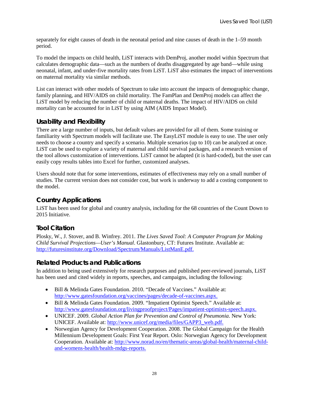separately for eight causes of death in the neonatal period and nine causes of death in the 1–59 month period.

To model the impacts on child health, LiST interacts with DemProj, another model within Spectrum that calculates demographic data—such as the numbers of deaths disaggregated by age band—while using neonatal, infant, and under-five mortality rates from LiST. LiST also estimates the impact of interventions on maternal mortality via similar methods.

List can interact with other models of Spectrum to take into account the impacts of demographic change, family planning, and HIV/AIDS on child mortality. The FamPlan and DemProj models can affect the LiST model by reducing the number of child or maternal deaths. The impact of HIV/AIDS on child mortality can be accounted for in LiST by using AIM (AIDS Impact Model).

# **Usability and Flexibility**

There are a large number of inputs, but default values are provided for all of them. Some training or familiarity with Spectrum models will facilitate use. The EasyLiST module is easy to use. The user only needs to choose a country and specify a scenario. Multiple scenarios (up to 10) can be analyzed at once. LiST can be used to explore a variety of maternal and child survival packages, and a research version of the tool allows customization of interventions. LiST cannot be adapted (it is hard-coded), but the user can easily copy results tables into Excel for further, customized analyses.

Users should note that for some interventions, estimates of effectiveness may rely on a small number of studies. The current version does not consider cost, but work is underway to add a costing component to the model.

#### **Country Applications**

LiST has been used for global and country analysis, including for the 68 countries of the Count Down to 2015 Initiative.

# **Tool Citation**

Plosky, W., J. Stover, and B. Winfrey. 2011. *The Lives Saved Tool: A Computer Program for Making Child Survival Projections—User's Manual*. Glastonbury, CT: Futures Institute. Available at: [http://futuresinstitute.org/Download/Spectrum/Manuals/ListManE.pdf.](http://futuresinstitute.org/Download/Spectrum/Manuals/ListManE.pdf)

#### **Related Products and Publications**

In addition to being used extensively for research purposes and published peer-reviewed journals, LiST has been used and cited widely in reports, speeches, and campaigns, including the following:

- Bill & Melinda Gates Foundation. 2010. "Decade of Vaccines." Available at: [http://www.gatesfoundation.org/vaccines/pages/decade-of-vaccines.aspx.](http://www.gatesfoundation.org/vaccines/pages/decade-of-vaccines.aspx)
- Bill & Melinda Gates Foundation. 2009. "Impatient Optimist Speech." Available at: [http://www.gatesfoundation.org/livingproofproject/Pages/impatient-optimists-speech.aspx.](http://www.gatesfoundation.org/livingproofproject/Pages/impatient-optimists-speech.aspx)
- UNICEF. 2009. *Global Action Plan for Prevention and Control of Pneumonia*. New York: UNICEF. Available at: [http://www.unicef.org/media/files/GAPP3\\_web.pdf.](http://www.unicef.org/media/files/GAPP3_web.pdf)
- Norwegian Agency for Development Cooperation. 2008. The Global Campaign for the Health Millennium Development Goals: First Year Report. Oslo: Norwegian Agency for Development Cooperation. Available at: [http://www.norad.no/en/thematic-areas/global-health/maternal-child](http://www.norad.no/en/thematic-areas/global-health/maternal-child-and-womens-health/health-mdgs-reports)[and-womens-health/health-mdgs-reports.](http://www.norad.no/en/thematic-areas/global-health/maternal-child-and-womens-health/health-mdgs-reports)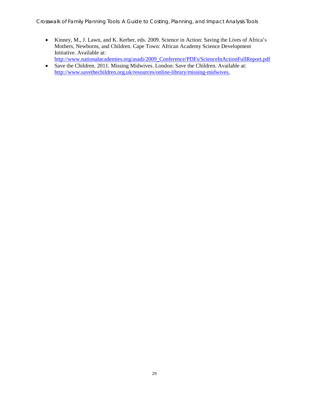Crosswalk of Family Planning Tools: A Guide to Costing, Planning, and Impact Analysis Tools

- Kinney, M., J. Lawn, and K. Kerber, eds. 2009. Science in Action: Saving the Lives of Africa's Mothers, Newborns, and Children. Cape Town: African Academy Science Development Initiative. Available at:
	- [http://www.nationalacademies.org/asadi/2009\\_Conference/PDFs/ScienceInActionFullReport.pdf](http://www.nationalacademies.org/asadi/2009_Conference/PDFs/ScienceInActionFullReport.pdf)
- Save the Children. 2011. Missing Midwives. London: Save the Children. Available at: [http://www.savethechildren.org.uk/resources/online-library/missing-midwives.](http://www.savethechildren.org.uk/resources/online-library/missing-midwives)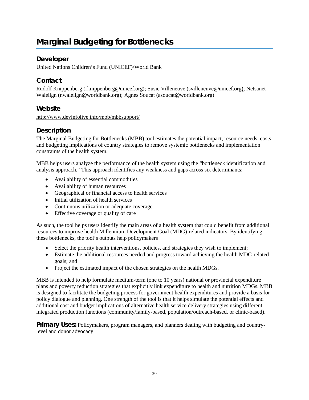# <span id="page-37-0"></span>**Marginal Budgeting for Bottlenecks**

#### **Developer**

United Nations Children's Fund (UNICEF)/World Bank

#### **Contact**

Rudolf Knippenberg (rknippenberg@unicef.org); Susie Villeneuve (svilleneuve@unicef.org); Netsanet Walelign (nwalelign@worldbank.org); Agnes Soucat (asoucat@worldbank.org)

#### **Website**

<http://www.devinfolive.info/mbb/mbbsupport/>

#### **Description**

The Marginal Budgeting for Bottlenecks (MBB) tool estimates the potential impact, resource needs, costs, and budgeting implications of country strategies to remove systemic bottlenecks and implementation constraints of the health system.

MBB helps users analyze the performance of the health system using the "bottleneck identification and analysis approach." This approach identifies any weakness and gaps across six determinants:

- Availability of essential commodities
- Availability of human resources
- Geographical or financial access to health services
- Initial utilization of health services
- Continuous utilization or adequate coverage
- Effective coverage or quality of care

As such, the tool helps users identify the main areas of a health system that could benefit from additional resources to improve health Millennium Development Goal (MDG)-related indicators. By identifying these bottlenecks, the tool's outputs help policymakers

- Select the priority health interventions, policies, and strategies they wish to implement;
- Estimate the additional resources needed and progress toward achieving the health MDG-related goals; and
- Project the estimated impact of the chosen strategies on the health MDGs.

MBB is intended to help formulate medium-term (one to 10 years) national or provincial expenditure plans and poverty reduction strategies that explicitly link expenditure to health and nutrition MDGs. MBB is designed to facilitate the budgeting process for government health expenditures and provide a basis for policy dialogue and planning. One strength of the tool is that it helps simulate the potential effects and additional cost and budget implications of alternative health service delivery strategies using different integrated production functions (community/family-based, population/outreach-based, or clinic-based).

**Primary Uses:** Policymakers, program managers, and planners dealing with budgeting and countrylevel and donor advocacy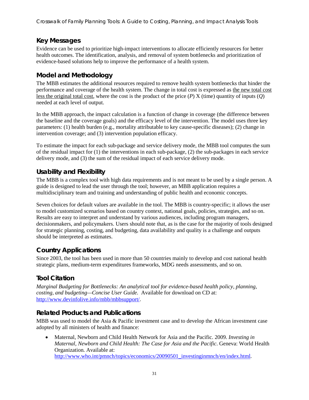#### **Key Messages**

Evidence can be used to prioritize high-impact interventions to allocate efficiently resources for better health outcomes. The identification, analysis, and removal of system bottlenecks and prioritization of evidence-based solutions help to improve the performance of a health system.

#### **Model and Methodology**

The MBB estimates the additional resources required to remove health system bottlenecks that hinder the performance and coverage of the health system. The change in total cost is expressed as the new total cost less the original total cost, where the cost is the product of the price (*P*) X (time) quantity of inputs (*Q*) needed at each level of output.

In the MBB approach, the impact calculation is a function of change in coverage (the difference between the baseline and the coverage goals) and the efficacy level of the intervention. The model uses three key parameters: (1) health burden (e.g., mortality attributable to key cause-specific diseases); (2) change in intervention coverage; and (3) intervention population efficacy.

To estimate the impact for each sub-package and service delivery mode, the MBB tool computes the sum of the residual impact for  $(1)$  the interventions in each sub-package,  $(2)$  the sub-packages in each service delivery mode, and (3) the sum of the residual impact of each service delivery mode.

# **Usability and Flexibility**

The MBB is a complex tool with high data requirements and is not meant to be used by a single person. A guide is designed to lead the user through the tool; however, an MBB application requires a multidisciplinary team and training and understanding of public health and economic concepts.

Seven choices for default values are available in the tool. The MBB is country-specific; it allows the user to model customized scenarios based on country context, national goals, policies, strategies, and so on. Results are easy to interpret and understand by various audiences, including program managers, decisionmakers, and policymakers. Users should note that, as is the case for the majority of tools designed for strategic planning, costing, and budgeting, data availability and quality is a challenge and outputs should be interpreted as estimates.

# **Country Applications**

Since 2003, the tool has been used in more than 50 countries mainly to develop and cost national health strategic plans, medium-term expenditures frameworks, MDG needs assessments, and so on.

# **Tool Citation**

*Marginal Budgeting for Bottlenecks: An analytical tool for evidence-based health policy, planning, costing, and budgeting—Concise User Guide.* Available for download on CD at: [http://www.devinfolive.info/mbb/mbbsupport/.](http://www.devinfolive.info/mbb/mbbsupport/)

#### **Related Products and Publications**

MBB was used to model the Asia & Pacific investment case and to develop the African investment case adopted by all ministers of health and finance:

• Maternal, Newborn and Child Health Network for Asia and the Pacific. 2009. *Investing in Maternal, Newborn and Child Health: The Case for Asia and the Pacific*. Geneva: World Health Organization. Available at: [http://www.who.int/pmnch/topics/economics/20090501\\_investinginmnch/en/index.html.](http://www.who.int/pmnch/topics/economics/20090501_investinginmnch/en/index.html)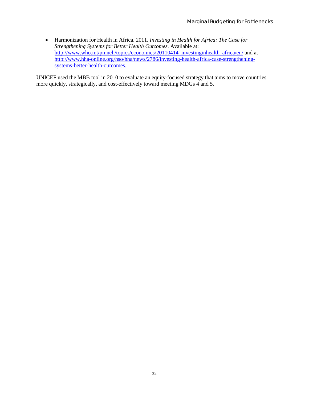• Harmonization for Health in Africa. 2011. *Investing in Health for Africa: The Case for Strengthening Systems for Better Health Outcomes*. Available at: [http://www.who.int/pmnch/topics/economics/20110414\\_investinginhealth\\_africa/en/](http://www.who.int/pmnch/topics/economics/20110414_investinginhealth_africa/en/) and at [http://www.hha-online.org/hso/hha/news/2786/investing-health-africa-case-strengthening](http://www.hha-online.org/hso/hha/news/2786/investing-health-africa-case-strengthening-systems-better-health-outcomes)[systems-better-health-outcomes.](http://www.hha-online.org/hso/hha/news/2786/investing-health-africa-case-strengthening-systems-better-health-outcomes)

UNICEF used the MBB tool in 2010 to evaluate an equity-focused strategy that aims to move countries more quickly, strategically, and cost-effectively toward meeting MDGs 4 and 5.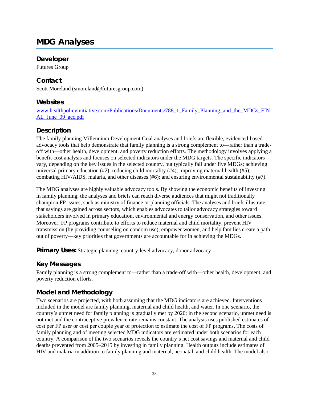# <span id="page-40-0"></span>**MDG Analyses**

#### **Developer**

Futures Group

#### **Contact**

Scott Moreland (smoreland@futuresgroup.com)

#### **Websites**

[www.healthpolicyinitiative.com/Publications/Documents/788\\_1\\_Family\\_Planning\\_and\\_the\\_MDGs\\_FIN](http://www.healthpolicyinitiative.com/Publications/Documents/788_1_Family_Planning_and_the_MDGs_FINAL_June_09_acc.pdf) [AL\\_June\\_09\\_acc.pdf](http://www.healthpolicyinitiative.com/Publications/Documents/788_1_Family_Planning_and_the_MDGs_FINAL_June_09_acc.pdf)

# **Description**

The family planning Millennium Development Goal analyses and briefs are flexible, evidenced-based advocacy tools that help demonstrate that family planning is a strong complement to—rather than a tradeoff with—other health, development, and poverty reduction efforts. The methodology involves applying a benefit-cost analysis and focuses on selected indicators under the MDG targets. The specific indicators vary, depending on the key issues in the selected country, but typically fall under five MDGs: achieving universal primary education  $(\#2)$ ; reducing child mortality  $(\#4)$ ; improving maternal health ( $\#5$ ); combating HIV/AIDS, malaria, and other diseases (#6); and ensuring environmental sustainability (#7).

The MDG analyses are highly valuable advocacy tools. By showing the economic benefits of investing in family planning, the analyses and briefs can reach diverse audiences that might not traditionally champion FP issues, such as ministry of finance or planning officials. The analyses and briefs illustrate that savings are gained across sectors, which enables advocates to tailor advocacy strategies toward stakeholders involved in primary education, environmental and energy conservation, and other issues. Moreover, FP programs contribute to efforts to reduce maternal and child mortality, prevent HIV transmission (by providing counseling on condom use), empower women, and help families create a path out of poverty—key priorities that governments are accountable for in achieving the MDGs.

**Primary Uses:** Strategic planning, country-level advocacy, donor advocacy

# **Key Messages**

Family planning is a strong complement to—rather than a trade-off with—other health, development, and poverty reduction efforts.

# **Model and Methodology**

Two scenarios are projected, with both assuming that the MDG indicators are achieved. Interventions included in the model are family planning, maternal and child health, and water. In one scenario, the country's unmet need for family planning is gradually met by 2020; in the second scenario, unmet need is not met and the contraceptive prevalence rate remains constant. The analysis uses published estimates of cost per FP user or cost per couple year of protection to estimate the cost of FP programs. The costs of family planning and of meeting selected MDG indicators are estimated under both scenarios for each country. A comparison of the two scenarios reveals the country's net cost savings and maternal and child deaths prevented from 2005–2015 by investing in family planning. Health outputs include estimates of HIV and malaria in addition to family planning and maternal, neonatal, and child health. The model also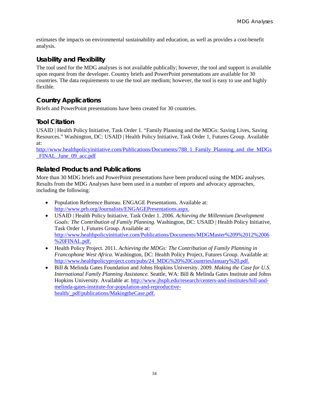estimates the impacts on environmental sustainability and education, as well as provides a cost-benefit analysis.

#### **Usability and Flexibility**

The tool used for the MDG analyses is not available publically; however, the tool and support is available upon request from the developer. Country briefs and PowerPoint presentations are available for 30 countries. The data requirements to use the tool are medium; however, the tool is easy to use and highly flexible.

#### **Country Applications**

Briefs and PowerPoint presentations have been created for 30 countries.

#### **Tool Citation**

USAID | Health Policy Initiative, Task Order 1. "Family Planning and the MDGs: Saving Lives, Saving Resources." Washington, DC: USAID | Health Policy Initiative, Task Order 1, Futures Group. Available at:

[http://www.healthpolicyinitiative.com/Publications/Documents/788\\_1\\_Family\\_Planning\\_and\\_the\\_MDGs](http://www.healthpolicyinitiative.com/Publications/Documents/788_1_Family_Planning_and_the_MDGs_FINAL_June_09_acc.pdf) FINAL June 09 acc.pdf

#### **Related Products and Publications**

More than 30 MDG briefs and PowerPoint presentations have been produced using the MDG analyses. Results from the MDG Analyses have been used in a number of reports and advocacy approaches, including the following:

- Population Reference Bureau. ENGAGE Presentations. Available at: [http://www.prb.org/Journalists/ENGAGEPresentations.aspx.](http://www.prb.org/Journalists/ENGAGEPresentations.aspx)
- USAID | Health Policy Initiative, Task Order 1. 2006. *Achieving the Millennium Development Goals: The Contribution of Family Planning*. Washington, DC: USAID | Health Policy Initiative, Task Order 1, Futures Group. Available at: [http://www.healthpolicyinitiative.com/Publications/Documents/MDGMaster%209%2012%2006](http://www.healthpolicyinitiative.com/Publications/Documents/MDGMaster%209%2012%2006%20FINAL.pdf) [%20FINAL.pdf.](http://www.healthpolicyinitiative.com/Publications/Documents/MDGMaster%209%2012%2006%20FINAL.pdf)
- Health Policy Project. 2011. *Achieving the MDGs: The Contribution of Family Planning in Francophone West Africa.* Washington, DC: Health Policy Project, Futures Group. Available at: [http://www.healthpolicyproject.com/pubs/24\\_MDG%20%20CountriesJanuary%20.pdf.](http://www.healthpolicyproject.com/pubs/24_MDG%20%20CountriesJanuary%20.pdf)
- Bill & Melinda Gates Foundation and Johns Hopkins University. 2009. *Making the Case for U.S. International Family Planning Assistance.* Seattle, WA: Bill & Melinda Gates Institute and Johns Hopkins University. Available at: [http://www.jhsph.edu/research/centers-and-institutes/bill-and](http://www.jhsph.edu/research/centers-and-institutes/bill-and-melinda-gates-institute-for-population-and-reproductive-health/_pdf/publications/MakingtheCase.pdf)[melinda-gates-institute-for-population-and-reproductive](http://www.jhsph.edu/research/centers-and-institutes/bill-and-melinda-gates-institute-for-population-and-reproductive-health/_pdf/publications/MakingtheCase.pdf)[health/\\_pdf/publications/MakingtheCase.pdf.](http://www.jhsph.edu/research/centers-and-institutes/bill-and-melinda-gates-institute-for-population-and-reproductive-health/_pdf/publications/MakingtheCase.pdf)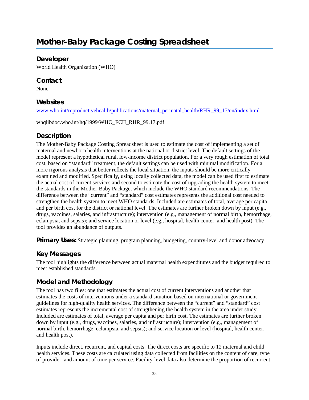# <span id="page-42-0"></span>**Mother-Baby Package Costing Spreadsheet**

#### **Developer**

World Health Organization (WHO)

#### **Contact**

None

#### **Websites**

[www.who.int/reproductivehealth/publications/maternal\\_perinatal\\_health/RHR\\_99\\_17/en/index.html](http://www.who.int/reproductivehealth/publications/maternal_perinatal_health/RHR_99_17/en/index.html)

[whqlibdoc.who.int/hq/1999/WHO\\_FCH\\_RHR\\_99.17.pdf](http://whqlibdoc.who.int/hq/1999/WHO_FCH_RHR_99.17.pdf) 

#### **Description**

The Mother-Baby Package Costing Spreadsheet is used to estimate the cost of implementing a set of maternal and newborn health interventions at the national or district level. The default settings of the model represent a hypothetical rural, low-income district population. For a very rough estimation of total cost, based on "standard" treatment, the default settings can be used with minimal modification. For a more rigorous analysis that better reflects the local situation, the inputs should be more critically examined and modified. Specifically, using locally collected data, the model can be used first to estimate the actual cost of current services and second to estimate the cost of upgrading the health system to meet the standards in the Mother-Baby Package, which include the WHO standard recommendations. The difference between the "current" and "standard" cost estimates represents the additional cost needed to strengthen the health system to meet WHO standards. Included are estimates of total, average per capita and per birth cost for the district or national level. The estimates are further broken down by input (e.g., drugs, vaccines, salaries, and infrastructure); intervention (e.g., management of normal birth, hemorrhage, eclampsia, and sepsis); and service location or level (e.g., hospital, health center, and health post). The tool provides an abundance of outputs.

**Primary Uses:** Strategic planning, program planning, budgeting, country-level and donor advocacy

#### **Key Messages**

The tool highlights the difference between actual maternal health expenditures and the budget required to meet established standards.

#### **Model and Methodology**

The tool has two files: one that estimates the actual cost of current interventions and another that estimates the costs of interventions under a standard situation based on international or government guidelines for high-quality health services. The difference between the "current" and "standard" cost estimates represents the incremental cost of strengthening the health system in the area under study. Included are estimates of total, average per capita and per birth cost. The estimates are further broken down by input (e.g., drugs, vaccines, salaries, and infrastructure); intervention (e.g., management of normal birth, hemorrhage, eclampsia, and sepsis); and service location or level (hospital, health center, and health post).

Inputs include direct, recurrent, and capital costs. The direct costs are specific to 12 maternal and child health services. These costs are calculated using data collected from facilities on the content of care, type of provider, and amount of time per service. Facility-level data also determine the proportion of recurrent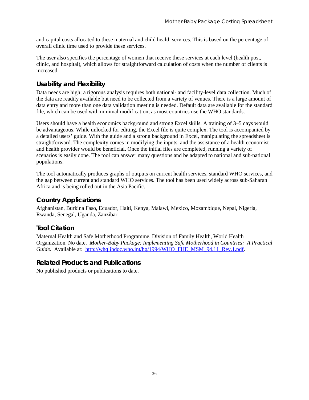and capital costs allocated to these maternal and child health services. This is based on the percentage of overall clinic time used to provide these services.

The user also specifies the percentage of women that receive these services at each level (health post, clinic, and hospital), which allows for straightforward calculation of costs when the number of clients is increased.

# **Usability and Flexibility**

Data needs are high; a rigorous analysis requires both national- and facility-level data collection. Much of the data are readily available but need to be collected from a variety of venues. There is a large amount of data entry and more than one data validation meeting is needed. Default data are available for the standard file, which can be used with minimal modification, as most countries use the WHO standards.

Users should have a health economics background and strong Excel skills. A training of 3–5 days would be advantageous. While unlocked for editing, the Excel file is quite complex. The tool is accompanied by a detailed users' guide. With the guide and a strong background in Excel, manipulating the spreadsheet is straightforward. The complexity comes in modifying the inputs, and the assistance of a health economist and health provider would be beneficial. Once the initial files are completed, running a variety of scenarios is easily done. The tool can answer many questions and be adapted to national and sub-national populations.

The tool automatically produces graphs of outputs on current health services, standard WHO services, and the gap between current and standard WHO services. The tool has been used widely across sub-Saharan Africa and is being rolled out in the Asia Pacific.

#### **Country Applications**

Afghanistan, Burkina Faso, Ecuador, Haiti, Kenya, Malawi, Mexico, Mozambique, Nepal, Nigeria, Rwanda, Senegal, Uganda, Zanzibar

# **Tool Citation**

Maternal Health and Safe Motherhood Programme, Division of Family Health, World Health Organization. No date. *Mother-Baby Package: Implementing Safe Motherhood in Countries: A Practical Guide*. Available at: [http://whqlibdoc.who.int/hq/1994/WHO\\_FHE\\_MSM\\_94.11\\_Rev.1.pdf.](http://whqlibdoc.who.int/hq/1994/WHO_FHE_MSM_94.11_Rev.1.pdf)

#### **Related Products and Publications**

No published products or publications to date.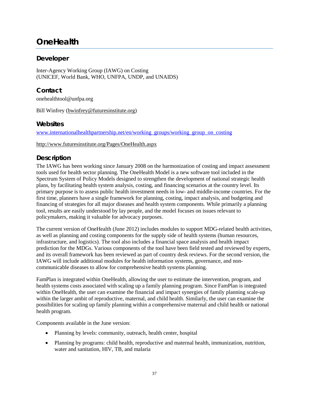# <span id="page-44-0"></span>**OneHealth**

#### **Developer**

Inter-Agency Working Group (IAWG) on Costing (UNICEF, World Bank, WHO, UNFPA, UNDP, and UNAIDS)

#### **Contact**

[onehealthtool@unfpa.org](mailto:onehealthtool@unfpa.org)

Bill Winfrey [\(bwinfrey@futuresinstitute.org\)](mailto:bwinfrey@futuresinstitute.org)

#### **Websites**

[www.internationalhealthpartnership.net/en/working\\_groups/working\\_group\\_on\\_costing](http://www.internationalhealthpartnership.net/en/working_groups/working_group_on_costing)

http://www.futuresinstitute.org/Pages/OneHealth.aspx

#### **Description**

The IAWG has been working since January 2008 on the harmonization of costing and impact assessment tools used for health sector planning. The OneHealth Model is a new software tool included in the Spectrum System of Policy Models designed to strengthen the development of national strategic health plans, by facilitating health system analysis, costing, and financing scenarios at the country level. Its primary purpose is to assess public health investment needs in low- and middle-income countries. For the first time, planners have a single framework for planning, costing, impact analysis, and budgeting and financing of strategies for all major diseases and health system components. While primarily a planning tool, results are easily understood by lay people, and the model focuses on issues relevant to policymakers, making it valuable for advocacy purposes.

The current version of OneHealth (June 2012) includes modules to support MDG-related health activities, as well as planning and costing components for the supply side of health systems (human resources, infrastructure, and logistics). The tool also includes a financial space analysis and health impact prediction for the MDGs. Various components of the tool have been field tested and reviewed by experts, and its overall framework has been reviewed as part of country desk reviews. For the second version, the IAWG will include additional modules for health information systems, governance, and noncommunicable diseases to allow for comprehensive health systems planning.

FamPlan is integrated within OneHealth, allowing the user to estimate the intervention, program, and health systems costs associated with scaling up a family planning program. Since FamPlan is integrated within OneHealth, the user can examine the financial and impact synergies of family planning scale-up within the larger ambit of reproductive, maternal, and child health. Similarly, the user can examine the possibilities for scaling up family planning within a comprehensive maternal and child health or national health program.

Components available in the June version:

- Planning by levels: community, outreach, health center, hospital
- Planning by programs: child health, reproductive and maternal health, immunization, nutrition, water and sanitation, HIV, TB, and malaria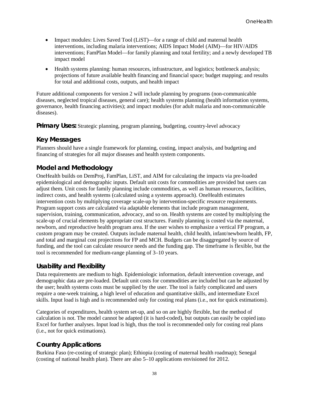- Impact modules: Lives Saved Tool (LiST)—for a range of child and maternal health interventions, including malaria interventions; AIDS Impact Model (AIM)—for HIV/AIDS interventions; FamPlan Model—for family planning and total fertility; and a newly developed TB impact model
- Health systems planning: human resources, infrastructure, and logistics; bottleneck analysis; projections of future available health financing and financial space; budget mapping; and results for total and additional costs, outputs, and health impact

Future additional components for version 2 will include planning by programs (non-communicable diseases, neglected tropical diseases, general care); health systems planning (health information systems, governance, health financing activities); and impact modules (for adult malaria and non-communicable diseases).

**Primary Uses:** Strategic planning, program planning, budgeting, country-level advocacy

#### **Key Messages**

Planners should have a single framework for planning, costing, impact analysis, and budgeting and financing of strategies for all major diseases and health system components.

#### **Model and Methodology**

OneHealth builds on DemProj, FamPlan, LiST, and AIM for calculating the impacts via pre-loaded epidemiological and demographic inputs. Default unit costs for commodities are provided but users can adjust them. Unit costs for family planning include commodities, as well as human resources, facilities, indirect costs, and health systems (calculated using a systems approach). OneHealth estimates intervention costs by multiplying coverage scale-up by intervention-specific resource requirements. Program support costs are calculated via adaptable elements that include program management, supervision, training, communication, advocacy, and so on. Health systems are costed by multiplying the scale-up of crucial elements by appropriate cost structures. Family planning is costed via the maternal, newborn, and reproductive health program area. If the user wishes to emphasize a vertical FP program, a custom program may be created. Outputs include maternal health, child health, infant/newborn health, FP, and total and marginal cost projections for FP and MCH. Budgets can be disaggregated by source of funding, and the tool can calculate resource needs and the funding gap. The timeframe is flexible, but the tool is recommended for medium-range planning of 3–10 years.

#### **Usability and Flexibility**

Data requirements are medium to high. Epidemiologic information, default intervention coverage, and demographic data are pre-loaded. Default unit costs for commodities are included but can be adjusted by the user; health systems costs must be supplied by the user. The tool is fairly complicated and users require a one-week training, a high level of education and quantitative skills, and intermediate Excel skills. Input load is high and is recommended only for costing real plans (i.e., not for quick estimations).

Categories of expenditures, health system set-up, and so on are highly flexible, but the method of calculation is not. The model cannot be adapted (it is hard-coded), but outputs can easily be copied into Excel for further analyses. Input load is high, thus the tool is recommended only for costing real plans (i.e., not for quick estimations).

#### **Country Applications**

Burkina Faso (re-costing of strategic plan); Ethiopia (costing of maternal health roadmap); Senegal (costing of national health plan). There are also 5–10 applications envisioned for 2012.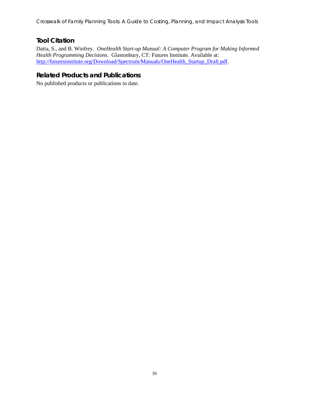Crosswalk of Family Planning Tools: A Guide to Costing, Planning, and Impact Analysis Tools

# **Tool Citation**

Datta, S., and B. Winfrey. *OneHealth Start-up Manual: A Computer Program for Making Informed Health Programming Decisions*. Glastonbury, CT: Futures Institute. Available at: [http://futuresinstitute.org/Download/Spectrum/Manuals/OneHealth\\_Startup\\_Draft.pdf.](http://futuresinstitute.org/Download/Spectrum/Manuals/OneHealth_Startup_Draft.pdf)

#### **Related Products and Publications**

No published products or publications to date.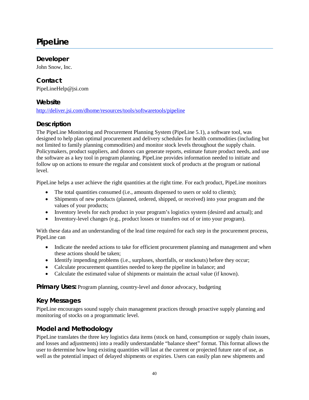# <span id="page-47-0"></span>**PipeLine**

#### **Developer**

John Snow, Inc.

#### **Contact** [PipeLineHelp@jsi.com](mailto:PipeLineHelp@jsi.com)

#### **Website**

<http://deliver.jsi.com/dhome/resources/tools/softwaretools/pipeline>

# **Description**

The PipeLine Monitoring and Procurement Planning System (PipeLine 5.1), a software tool, was designed to help plan optimal procurement and delivery schedules for health commodities (including but not limited to family planning commodities) and monitor stock levels throughout the supply chain. Policymakers, product suppliers, and donors can generate reports, estimate future product needs, and use the software as a key tool in program planning. PipeLine provides information needed to initiate and follow up on actions to ensure the regular and consistent stock of products at the program or national level.

PipeLine helps a user achieve the right quantities at the right time. For each product, PipeLine monitors

- $\bullet$  The total quantities consumed (i.e., amounts dispensed to users or sold to clients);
- Shipments of new products (planned, ordered, shipped, or received) into your program and the values of your products;
- Inventory levels for each product in your program's logistics system (desired and actual); and
- Inventory-level changes (e.g., product losses or transfers out of or into your program).

With these data and an understanding of the lead time required for each step in the procurement process, PipeLine can

- Indicate the needed actions to take for efficient procurement planning and management and when these actions should be taken;
- Identify impending problems (i.e., surpluses, shortfalls, or stockouts) before they occur;
- Calculate procurement quantities needed to keep the pipeline in balance; and
- Calculate the estimated value of shipments or maintain the actual value (if known).

**Primary Uses:** Program planning, country-level and donor advocacy, budgeting

#### **Key Messages**

PipeLine encourages sound supply chain management practices through proactive supply planning and monitoring of stocks on a programmatic level.

#### **Model and Methodology**

PipeLine translates the three key logistics data items (stock on hand, consumption or supply chain issues, and losses and adjustments) into a readily understandable "balance sheet" format. This format allows the user to determine how long existing quantities will last at the current or projected future rate of use, as well as the potential impact of delayed shipments or expiries. Users can easily plan new shipments and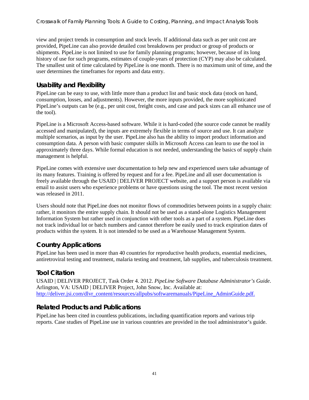view and project trends in consumption and stock levels. If additional data such as per unit cost are provided, PipeLine can also provide detailed cost breakdowns per product or group of products or shipments. PipeLine is not limited to use for family planning programs; however, because of its long history of use for such programs, estimates of couple-years of protection (CYP) may also be calculated. The smallest unit of time calculated by PipeLine is one month. There is no maximum unit of time, and the user determines the timeframes for reports and data entry.

#### **Usability and Flexibility**

PipeLine can be easy to use, with little more than a product list and basic stock data (stock on hand, consumption, losses, and adjustments). However, the more inputs provided, the more sophisticated PipeLine's outputs can be (e.g., per unit cost, freight costs, and case and pack sizes can all enhance use of the tool).

PipeLine is a Microsoft Access-based software. While it is hard-coded (the source code cannot be readily accessed and manipulated), the inputs are extremely flexible in terms of source and use. It can analyze multiple scenarios, as input by the user. PipeLine also has the ability to import product information and consumption data. A person with basic computer skills in Microsoft Access can learn to use the tool in approximately three days. While formal education is not needed, understanding the basics of supply chain management is helpful.

PipeLine comes with extensive user documentation to help new and experienced users take advantage of its many features. Training is offered by request and for a fee. PipeLine and all user documentation is freely available through the USAID | DELIVER PROJECT website, and a support person is available via email to assist users who experience problems or have questions using the tool. The most recent version was released in 2011.

Users should note that PipeLine does not monitor flows of commodities between points in a supply chain: rather, it monitors the entire supply chain. It should not be used as a stand-alone Logistics Management Information System but rather used in conjunction with other tools as a part of a system. PipeLine does not track individual lot or batch numbers and cannot therefore be easily used to track expiration dates of products within the system. It is not intended to be used as a Warehouse Management System.

# **Country Applications**

PipeLine has been used in more than 40 countries for reproductive health products, essential medicines, antiretroviral testing and treatment, malaria testing and treatment, lab supplies, and tuberculosis treatment.

# **Tool Citation**

USAID | DELIVER PROJECT, Task Order 4. 2012. *PipeLine Software Database Administrator's Guide*. Arlington, VA: USAID | DELIVER Project, John Snow, Inc. Available at: [http://deliver.jsi.com/dlvr\\_content/resources/allpubs/softwaremanuals/PipeLine\\_AdminGuide.pdf.](http://deliver.jsi.com/dlvr_content/resources/allpubs/softwaremanuals/PipeLine_AdminGuide.pdf)

#### **Related Products and Publications**

PipeLine has been cited in countless publications, including quantification reports and various trip reports. Case studies of PipeLine use in various countries are provided in the tool administrator's guide.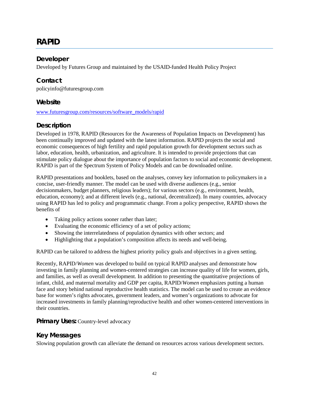# <span id="page-49-0"></span>**RAPID**

#### **Developer**

Developed by Futures Group and maintained by the USAID-funded Health Policy Project

#### **Contact**

[policyinfo@futuresgroup.com](mailto:policyinfo@futuresgroup.com)

#### **Website**

[www.futuresgroup.com/resources/software\\_models/rapid](http://www.futuresgroup.com/resources/software_models/rapid)

#### **Description**

Developed in 1978, RAPID (Resources for the Awareness of Population Impacts on Development) has been continually improved and updated with the latest information. RAPID projects the social and economic consequences of high fertility and rapid population growth for development sectors such as labor, education, health, urbanization, and agriculture. It is intended to provide projections that can stimulate policy dialogue about the importance of population factors to social and economic development. RAPID is part of the Spectrum System of Policy Models and can be downloaded online.

RAPID presentations and booklets, based on the analyses, convey key information to policymakers in a concise, user-friendly manner. The model can be used with diverse audiences (e.g., senior decisionmakers, budget planners, religious leaders); for various sectors (e.g., environment, health, education, economy); and at different levels (e.g., national, decentralized). In many countries, advocacy using RAPID has led to policy and programmatic change. From a policy perspective, RAPID shows the benefits of

- Taking policy actions sooner rather than later;
- Evaluating the economic efficiency of a set of policy actions;
- Showing the interrelatedness of population dynamics with other sectors; and
- Highlighting that a population's composition affects its needs and well-being.

RAPID can be tailored to address the highest priority policy goals and objectives in a given setting.

Recently, RAPID/*Women* was developed to build on typical RAPID analyses and demonstrate how investing in family planning and women-centered strategies can increase quality of life for women, girls, and families, as well as overall development. In addition to presenting the quantitative projections of infant, child, and maternal mortality and GDP per capita, RAPID/*Women* emphasizes putting a human face and story behind national reproductive health statistics. The model can be used to create an evidence base for women's rights advocates, government leaders, and women's organizations to advocate for increased investments in family planning/reproductive health and other women-centered interventions in their countries.

#### **Primary Uses:** Country-level advocacy

#### **Key Messages**

Slowing population growth can alleviate the demand on resources across various development sectors.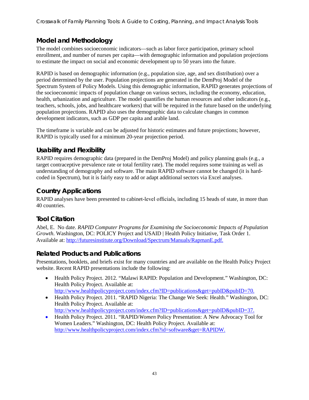# **Model and Methodology**

The model combines socioeconomic indicators—such as labor force participation, primary school enrollment, and number of nurses per capita—with demographic information and population projections to estimate the impact on social and economic development up to 50 years into the future.

RAPID is based on demographic information (e.g., population size, age, and sex distribution) over a period determined by the user. Population projections are generated in the DemProj Model of the Spectrum System of Policy Models. Using this demographic information, RAPID generates projections of the socioeconomic impacts of population change on various sectors, including the economy, education, health, urbanization and agriculture. The model quantifies the human resources and other indicators (e.g., teachers, schools, jobs, and healthcare workers) that will be required in the future based on the underlying population projections. RAPID also uses the demographic data to calculate changes in common development indicators, such as GDP per capita and arable land.

The timeframe is variable and can be adjusted for historic estimates and future projections; however, RAPID is typically used for a minimum 20-year projection period.

#### **Usability and Flexibility**

RAPID requires demographic data (prepared in the DemProj Model) and policy planning goals (e.g., a target contraceptive prevalence rate or total fertility rate). The model requires some training as well as understanding of demography and software. The main RAPID software cannot be changed (it is hardcoded in Spectrum), but it is fairly easy to add or adapt additional sectors via Excel analyses.

#### **Country Applications**

RAPID analyses have been presented to cabinet-level officials, including 15 heads of state, in more than 40 countries.

#### **Tool Citation**

Abel, E. No date. *RAPID Computer Programs for Examining the Socioeconomic Impacts of Population Growth*. Washington, DC: POLICY Project and USAID | Health Policy Initiative, Task Order 1. Available at: [http://futuresinstitute.org/Download/Spectrum/Manuals/RapmanE.pdf.](http://futuresinstitute.org/Download/Spectrum/Manuals/RapmanE.pdf)

#### **Related Products and Publications**

Presentations, booklets, and briefs exist for many countries and are available on the Health Policy Project website. Recent RAPID presentations include the following:

- Health Policy Project. 2012. "Malawi RAPID: Population and Development." Washington, DC: Health Policy Project. Available at: [http://www.healthpolicyproject.com/index.cfm?ID=publications&get=pubID&pubID=70.](http://www.healthpolicyproject.com/index.cfm?ID=publications&get=pubID&pubID=70)
- Health Policy Project. 2011. "RAPID Nigeria: The Change We Seek: Health." Washington, DC: Health Policy Project. Available at: [http://www.healthpolicyproject.com/index.cfm?ID=publications&get=pubID&pubID=37.](http://www.healthpolicyproject.com/index.cfm?ID=publications&get=pubID&pubID=37)
- Health Policy Project. 2011. "RAPID/*Women* Policy Presentation: A New Advocacy Tool for Women Leaders." Washington, DC: Health Policy Project. Available at: [http://www.healthpolicyproject.com/index.cfm?id=software&get=RAPIDW.](http://www.healthpolicyproject.com/index.cfm?id=software&get=RAPIDW)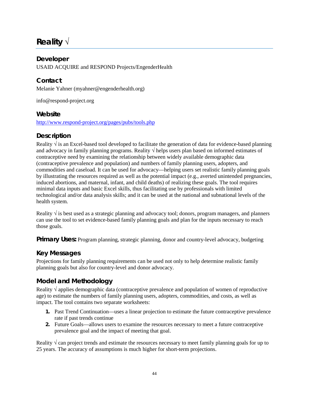# <span id="page-51-0"></span>**Reality √**

#### **Developer**

USAID ACQUIRE and RESPOND Projects/EngenderHealth

#### **Contact**

Melanie Yahner [\(myahner@engenderhealth.org\)](mailto:myahner@engenderhealth.org)

info@respond-project.org

#### **Website**

<http://www.respond-project.org/pages/pubs/tools.php>

#### **Description**

Reality √ is an Excel-based tool developed to facilitate the generation of data for evidence-based planning and advocacy in family planning programs. Reality  $\sqrt{}$  helps users plan based on informed estimates of contraceptive need by examining the relationship between widely available demographic data (contraceptive prevalence and population) and numbers of family planning users, adopters, and commodities and caseload. It can be used for advocacy—helping users set realistic family planning goals by illustrating the resources required as well as the potential impact (e.g., averted unintended pregnancies, induced abortions, and maternal, infant, and child deaths) of realizing these goals. The tool requires minimal data inputs and basic Excel skills, thus facilitating use by professionals with limited technological and/or data analysis skills; and it can be used at the national and subnational levels of the health system.

Reality √ is best used as a strategic planning and advocacy tool; donors, program managers, and planners can use the tool to set evidence-based family planning goals and plan for the inputs necessary to reach those goals.

**Primary Uses:** Program planning, strategic planning, donor and country-level advocacy, budgeting

#### **Key Messages**

Projections for family planning requirements can be used not only to help determine realistic family planning goals but also for country-level and donor advocacy.

# **Model and Methodology**

Reality  $\sqrt{\ }$  applies demographic data (contraceptive prevalence and population of women of reproductive age) to estimate the numbers of family planning users, adopters, commodities, and costs, as well as impact. The tool contains two separate worksheets:

- **1.** Past Trend Continuation—uses a linear projection to estimate the future contraceptive prevalence rate if past trends continue
- **2.** Future Goals—allows users to examine the resources necessary to meet a future contraceptive prevalence goal and the impact of meeting that goal.

Reality  $\sqrt{2}$  can project trends and estimate the resources necessary to meet family planning goals for up to 25 years. The accuracy of assumptions is much higher for short-term projections.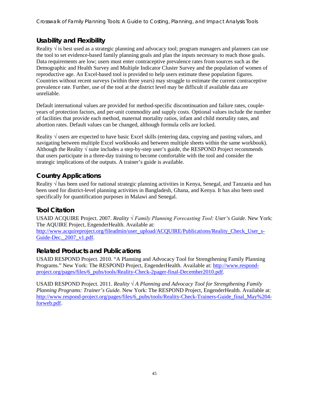# **Usability and Flexibility**

Reality  $\sqrt{ }$  is best used as a strategic planning and advocacy tool; program managers and planners can use the tool to set evidence-based family planning goals and plan the inputs necessary to reach those goals. Data requirements are low; users must enter contraceptive prevalence rates from sources such as the Demographic and Health Survey and Multiple Indicator Cluster Survey and the population of women of reproductive age. An Excel-based tool is provided to help users estimate these population figures. Countries without recent surveys (within three years) may struggle to estimate the current contraceptive prevalence rate. Further, use of the tool at the district level may be difficult if available data are unreliable.

Default international values are provided for method-specific discontinuation and failure rates, coupleyears of protection factors, and per-unit commodity and supply costs. Optional values include the number of facilities that provide each method, maternal mortality ratios, infant and child mortality rates, and abortion rates. Default values can be changed, although formula cells are locked.

Reality  $\sqrt{ }$  users are expected to have basic Excel skills (entering data, copying and pasting values, and navigating between multiple Excel workbooks and between multiple sheets within the same workbook). Although the Reality  $\sqrt{\ }$  suite includes a step-by-step user's guide, the RESPOND Project recommends that users participate in a three-day training to become comfortable with the tool and consider the strategic implications of the outputs. A trainer's guide is available.

#### **Country Applications**

Reality √ has been used for national strategic planning activities in Kenya, Senegal, and Tanzania and has been used for district-level planning activities in Bangladesh, Ghana, and Kenya. It has also been used specifically for quantification purposes in Malawi and Senegal.

#### **Tool Citation**

USAID ACQUIRE Project. 2007. *Reality √ Family Planning Forecasting Tool: User's Guide*. New York: The AQUIRE Project, EngenderHealth. Available at:

[http://www.acquireproject.org/fileadmin/user\\_upload/ACQUIRE/Publications/Reality\\_Check\\_User\\_s-](http://www.acquireproject.org/fileadmin/user_upload/ACQUIRE/Publications/Reality_Check_User_s-Guide-Dec._2007_v1.pdf)Guide-Dec. 2007 v1.pdf.

#### **Related Products and Publications**

USAID RESPOND Project. 2010. "A Planning and Advocacy Tool for Strengthening Family Planning Programs." New York: The RESPOND Project, EngenderHealth. Available at: [http://www.respond](http://www.respond-project.org/pages/files/6_pubs/tools/Reality-Check-2pager-final-December2010.pdf)[project.org/pages/files/6\\_pubs/tools/Reality-Check-2pager-final-December2010.pdf.](http://www.respond-project.org/pages/files/6_pubs/tools/Reality-Check-2pager-final-December2010.pdf)

USAID RESPOND Project. 2011. *Reality √ A Planning and Advocacy Tool for Strengthening Family Planning Programs: Trainer's Guide.* New York: The RESPOND Project, EngenderHealth. Available at: [http://www.respond-project.org/pages/files/6\\_pubs/tools/Reality-Check-Trainers-Guide\\_final\\_May%204](http://www.respond-project.org/pages/files/6_pubs/tools/Reality-Check-Trainers-Guide_final_May%204-forweb.pdf) [forweb.pdf.](http://www.respond-project.org/pages/files/6_pubs/tools/Reality-Check-Trainers-Guide_final_May%204-forweb.pdf)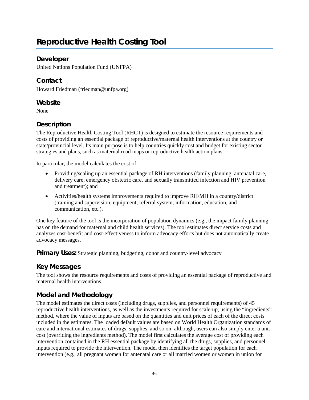# <span id="page-53-0"></span>**Reproductive Health Costing Tool**

#### **Developer**

United Nations Population Fund (UNFPA)

#### **Contact**

Howard Friedman (friedman@unfpa.org)

#### **Website**

None

#### **Description**

The Reproductive Health Costing Tool (RHCT) is designed to estimate the resource requirements and costs of providing an essential package of reproductive/maternal health interventions at the country or state/provincial level. Its main purpose is to help countries quickly cost and budget for existing sector strategies and plans, such as maternal road maps or reproductive health action plans.

In particular, the model calculates the cost of

- Providing/scaling up an essential package of RH interventions (family planning, antenatal care, delivery care, emergency obstetric care, and sexually transmitted infection and HIV prevention and treatment); and
- Activities/health systems improvements required to improve RH/MH in a country/district (training and supervision; equipment; referral system; information, education, and communication, etc.).

One key feature of the tool is the incorporation of population dynamics (e.g., the impact family planning has on the demand for maternal and child health services). The tool estimates direct service costs and analyzes cost-benefit and cost-effectiveness to inform advocacy efforts but does not automatically create advocacy messages.

**Primary Uses:** Strategic planning, budgeting, donor and country-level advocacy

#### **Key Messages**

The tool shows the resource requirements and costs of providing an essential package of reproductive and maternal health interventions.

# **Model and Methodology**

The model estimates the direct costs (including drugs, supplies, and personnel requirements) of 45 reproductive health interventions, as well as the investments required for scale-up, using the "ingredients" method, where the value of inputs are based on the quantities and unit prices of each of the direct costs included in the estimates. The loaded default values are based on World Health Organization standards of care and international estimates of drugs, supplies, and so on; although, users can also simply enter a unit cost (overriding the ingredients method). The model first calculates the average cost of providing each intervention contained in the RH essential package by identifying all the drugs, supplies, and personnel inputs required to provide the intervention. The model then identifies the target population for each intervention (e.g., all pregnant women for antenatal care or all married women or women in union for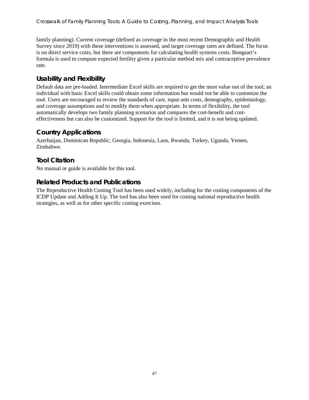family planning). Current coverage (defined as coverage in the most recent Demographic and Health Survey since 2010) with these interventions is assessed, and target coverage rates are defined. The focus is on direct service costs, but there are components for calculating health systems costs. Bongaart's formula is used to compute expected fertility given a particular method mix and contraceptive prevalence rate.

# **Usability and Flexibility**

Default data are pre-loaded. Intermediate Excel skills are required to get the most value out of the tool; an individual with basic Excel skills could obtain some information but would not be able to customize the tool. Users are encouraged to review the standards of care, input unit costs, demography, epidemiology, and coverage assumptions and to modify them when appropriate. In terms of flexibility, the tool automatically develops two family planning scenarios and compares the cost-benefit and costeffectiveness but can also be customized. Support for the tool is limited, and it is not being updated.

#### **Country Applications**

Azerbaijan, Dominican Republic, Georgia, Indonesia, Laos, Rwanda, Turkey, Uganda, Yemen, Zimbabwe.

# **Tool Citation**

No manual or guide is available for this tool.

#### **Related Products and Publications**

The Reproductive Health Costing Tool has been used widely, including for the costing components of the ICDP Update and Adding It Up. The tool has also been used for costing national reproductive health strategies, as well as for other specific costing exercises.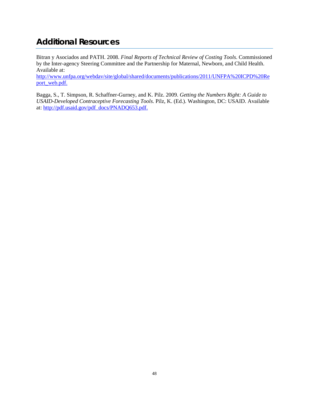# <span id="page-55-0"></span>**Additional Resources**

Bitran y Asociados and PATH. 2008. *Final Reports of Technical Review of Costing Tools*. Commissioned by the Inter-agency Steering Committee and the Partnership for Maternal, Newborn, and Child Health. Available at:

[http://www.unfpa.org/webdav/site/global/shared/documents/publications/2011/UNFPA%20ICPD%20Re](http://www.unfpa.org/webdav/site/global/shared/documents/publications/2011/UNFPA%20ICPD%20Report_web.pdf) [port\\_web.pdf.](http://www.unfpa.org/webdav/site/global/shared/documents/publications/2011/UNFPA%20ICPD%20Report_web.pdf)

Bagga, S., T. Simpson, R. Schaffner-Gurney, and K. Pilz. 2009. *Getting the Numbers Right: A Guide to USAID-Developed Contraceptive Forecasting Tools*. Pilz, K. (Ed.). Washington, DC: USAID. Available at: [http://pdf.usaid.gov/pdf\\_docs/PNADQ653.pdf.](http://pdf.usaid.gov/pdf_docs/PNADQ653.pdf)